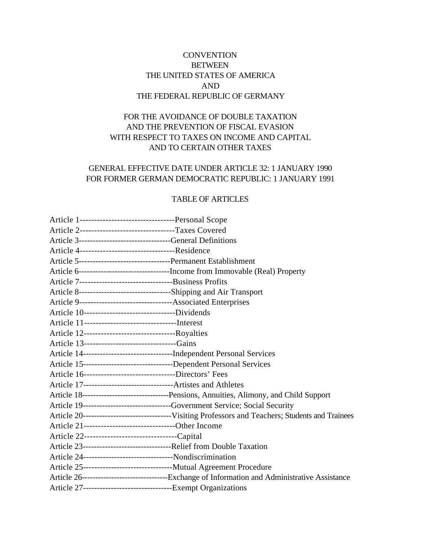# **CONVENTION BETWEEN** THE UNITED STATES OF AMERICA AND THE FEDERAL REPUBLIC OF GERMANY

# FOR THE AVOIDANCE OF DOUBLE TAXATION AND THE PREVENTION OF FISCAL EVASION WITH RESPECT TO TAXES ON INCOME AND CAPITAL AND TO CERTAIN OTHER TAXES

# GENERAL EFFECTIVE DATE UNDER ARTICLE 32: 1 JANUARY 1990 FOR FORMER GERMAN DEMOCRATIC REPUBLIC: 1 JANUARY 1991

#### TABLE OF ARTICLES

|                                                          | Article 2---------------------------------Taxes Covered                                           |
|----------------------------------------------------------|---------------------------------------------------------------------------------------------------|
|                                                          | Article 3----------------------------------General Definitions                                    |
|                                                          |                                                                                                   |
|                                                          |                                                                                                   |
|                                                          |                                                                                                   |
|                                                          |                                                                                                   |
|                                                          | Article 8-----------------------------------Shipping and Air Transport                            |
|                                                          | Article 9----------------------------------Associated Enterprises                                 |
| Article 10--------------------------------Dividends      |                                                                                                   |
|                                                          |                                                                                                   |
|                                                          |                                                                                                   |
| Article 13-------------------------------Gains           |                                                                                                   |
|                                                          |                                                                                                   |
|                                                          | Article 15-----------------------------------Dependent Personal Services                          |
|                                                          | Article 16---------------------------------Directors' Fees                                        |
|                                                          |                                                                                                   |
|                                                          | Article 18---------------------------------Pensions, Annuities, Alimony, and Child Support        |
|                                                          | Article 19-------------------------------Government Service; Social Security                      |
|                                                          |                                                                                                   |
| Article 21----------------------------------Other Income |                                                                                                   |
|                                                          |                                                                                                   |
|                                                          |                                                                                                   |
|                                                          | Article 24---------------------------------Nondiscrimination                                      |
|                                                          |                                                                                                   |
|                                                          | Article 26----------------------------------Exchange of Information and Administrative Assistance |
|                                                          | Article 27---------------------------------Exempt Organizations                                   |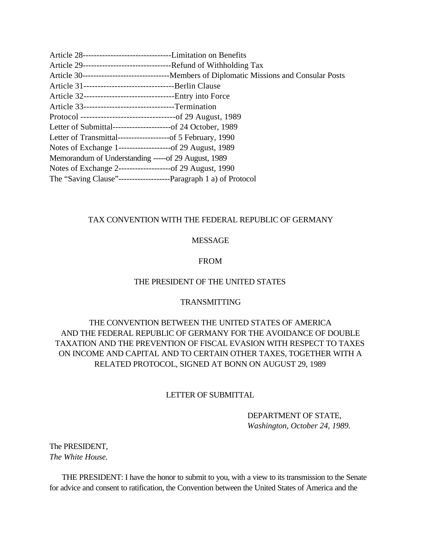<span id="page-1-0"></span>

| Article 32----------------------------------Entry into Force                 |
|------------------------------------------------------------------------------|
| Article 33--------------------------------Termination                        |
|                                                                              |
| Letter of Submittal----------------------of 24 October, 1989                 |
| Letter of Transmittal-------------------of 5 February, 1990                  |
| Notes of Exchange 1---------------------of 29 August, 1989                   |
| Memorandum of Understanding ----- of 29 August, 1989                         |
| Notes of Exchange 2----------------------of 29 August, 1990                  |
| The "Saving Clause"------------------------------ Paragraph 1 a) of Protocol |

## TAX CONVENTION WITH THE FEDERAL REPUBLIC OF GERMANY

#### MESSAGE

#### FROM

#### THE PRESIDENT OF THE UNITED STATES

## TRANSMITTING

# THE CONVENTION BETWEEN THE UNITED STATES OF AMERICA AND THE FEDERAL REPUBLIC OF GERMANY FOR THE AVOIDANCE OF DOUBLE TAXATION AND THE PREVENTION OF FISCAL EVASION WITH RESPECT TO TAXES ON INCOME AND CAPITAL AND TO CERTAIN OTHER TAXES, TOGETHER WITH A RELATED PROTOCOL, SIGNED AT BONN ON AUGUST 29, 1989

### LETTER OF SUBMITTAL

DEPARTMENT OF STATE, *Washington, October 24, 1989.*

The PRESIDENT, *The White House.*

 THE PRESIDENT: I have the honor to submit to you, with a view to its transmission to the Senate for advice and consent to ratification, the Convention between the United States of America and the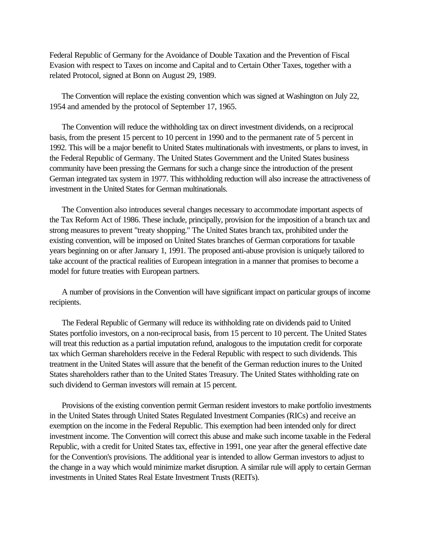Federal Republic of Germany for the Avoidance of Double Taxation and the Prevention of Fiscal Evasion with respect to Taxes on income and Capital and to Certain Other Taxes, together with a related Protocol, signed at Bonn on August 29, 1989.

 The Convention will replace the existing convention which was signed at Washington on July 22, 1954 and amended by the protocol of September 17, 1965.

 The Convention will reduce the withholding tax on direct investment dividends, on a reciprocal basis, from the present 15 percent to 10 percent in 1990 and to the permanent rate of 5 percent in 1992. This will be a major benefit to United States multinationals with investments, or plans to invest, in the Federal Republic of Germany. The United States Government and the United States business community have been pressing the Germans for such a change since the introduction of the present German integrated tax system in 1977. This withholding reduction will also increase the attractiveness of investment in the United States for German multinationals.

 The Convention also introduces several changes necessary to accommodate important aspects of the Tax Reform Act of 1986. These include, principally, provision for the imposition of a branch tax and strong measures to prevent "treaty shopping." The United States branch tax, prohibited under the existing convention, will be imposed on United States branches of German corporations for taxable years beginning on or after January 1, 1991. The proposed anti-abuse provision is uniquely tailored to take account of the practical realities of European integration in a manner that promises to become a model for future treaties with European partners.

 A number of provisions in the Convention will have significant impact on particular groups of income recipients.

 The Federal Republic of Germany will reduce its withholding rate on dividends paid to United States portfolio investors, on a non-reciprocal basis, from 15 percent to 10 percent. The United States will treat this reduction as a partial imputation refund, analogous to the imputation credit for corporate tax which German shareholders receive in the Federal Republic with respect to such dividends. This treatment in the United States will assure that the benefit of the German reduction inures to the United States shareholders rather than to the United States Treasury. The United States withholding rate on such dividend to German investors will remain at 15 percent.

 Provisions of the existing convention permit German resident investors to make portfolio investments in the United States through United States Regulated Investment Companies (RICs) and receive an exemption on the income in the Federal Republic. This exemption had been intended only for direct investment income. The Convention will correct this abuse and make such income taxable in the Federal Republic, with a credit for United States tax, effective in 1991, one year after the general effective date for the Convention's provisions. The additional year is intended to allow German investors to adjust to the change in a way which would minimize market disruption. A similar rule will apply to certain German investments in United States Real Estate Investment Trusts (REITs).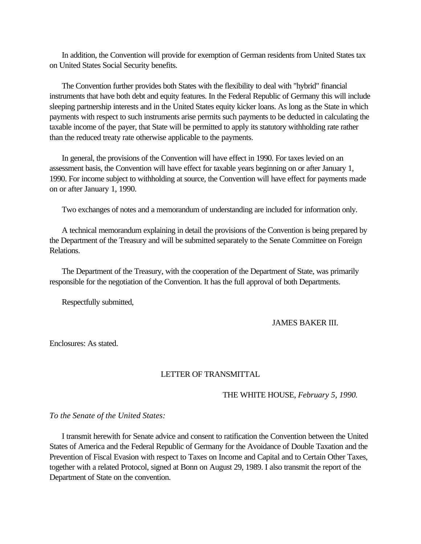In addition, the Convention will provide for exemption of German residents from United States tax on United States Social Security benefits.

 The Convention further provides both States with the flexibility to deal with "hybrid" financial instruments that have both debt and equity features. In the Federal Republic of Germany this will include sleeping partnership interests and in the United States equity kicker loans. As long as the State in which payments with respect to such instruments arise permits such payments to be deducted in calculating the taxable income of the payer, that State will be permitted to apply its statutory withholding rate rather than the reduced treaty rate otherwise applicable to the payments.

 In general, the provisions of the Convention will have effect in 1990. For taxes levied on an assessment basis, the Convention will have effect for taxable years beginning on or after January 1, 1990. For income subject to withholding at source, the Convention will have effect for payments made on or after January 1, 1990.

Two exchanges of notes and a memorandum of understanding are included for information only.

<span id="page-3-0"></span> A technical memorandum explaining in detail the provisions of the Convention is being prepared by the Department of the Treasury and will be submitted separately to the Senate Committee on Foreign Relations.

 The Department of the Treasury, with the cooperation of the Department of State, was primarily responsible for the negotiation of the Convention. It has the full approval of both Departments.

Respectfully submitted,

#### JAMES BAKER III.

Enclosures: As stated.

#### LETTER OF TRANSMITTAL

#### THE WHITE HOUSE, *February 5, 1990.*

#### *To the Senate of the United States:*

 I transmit herewith for Senate advice and consent to ratification the Convention between the United States of America and the Federal Republic of Germany for the Avoidance of Double Taxation and the Prevention of Fiscal Evasion with respect to Taxes on Income and Capital and to Certain Other Taxes, together with a related Protocol, signed at Bonn on August 29, 1989. I also transmit the report of the Department of State on the convention.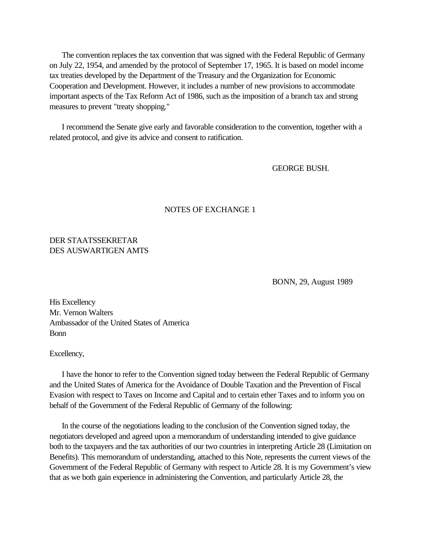The convention replaces the tax convention that was signed with the Federal Republic of Germany on July 22, 1954, and amended by the protocol of September 17, 1965. It is based on model income tax treaties developed by the Department of the Treasury and the Organization for Economic Cooperation and Development. However, it includes a number of new provisions to accommodate important aspects of the Tax Reform Act of 1986, such as the imposition of a branch tax and strong measures to prevent "treaty shopping."

 I recommend the Senate give early and favorable consideration to the convention, together with a related protocol, and give its advice and consent to ratification.

GEORGE BUSH.

#### NOTES OF EXCHANGE 1

# <span id="page-4-0"></span>DER STAATSSEKRETAR DES AUSWARTIGEN AMTS

BONN, 29, August 1989

His Excellency Mr. Vernon Walters Ambassador of the United States of America Bonn

#### Excellency,

 I have the honor to refer to the Convention signed today between the Federal Republic of Germany and the United States of America for the Avoidance of Double Taxation and the Prevention of Fiscal Evasion with respect to Taxes on Income and Capital and to certain ether Taxes and to inform you on behalf of the Government of the Federal Republic of Germany of the following:

 In the course of the negotiations leading to the conclusion of the Convention signed today, the negotiators developed and agreed upon a memorandum of understanding intended to give guidance both to the taxpayers and the tax authorities of our two countries in interpreting Article 28 (Limitation on Benefits). This memorandum of understanding, attached to this Note, represents the current views of the Government of the Federal Republic of Germany with respect to Article 28. It is my Government's view that as we both gain experience in administering the Convention, and particularly Article 28, the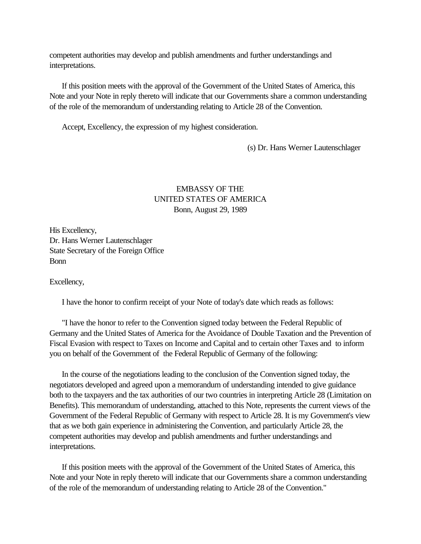competent authorities may develop and publish amendments and further understandings and interpretations.

 If this position meets with the approval of the Government of the United States of America, this Note and your Note in reply thereto will indicate that our Governments share a common understanding of the role of the memorandum of understanding relating to Article 28 of the Convention.

Accept, Excellency, the expression of my highest consideration.

(s) Dr. Hans Werner Lautenschlager

# EMBASSY OF THE UNITED STATES OF AMERICA Bonn, August 29, 1989

His Excellency, Dr. Hans Werner Lautenschlager State Secretary of the Foreign Office Bonn

Excellency,

I have the honor to confirm receipt of your Note of today's date which reads as follows:

 "I have the honor to refer to the Convention signed today between the Federal Republic of Germany and the United States of America for the Avoidance of Double Taxation and the Prevention of Fiscal Evasion with respect to Taxes on Income and Capital and to certain other Taxes and to inform you on behalf of the Government of the Federal Republic of Germany of the following:

 In the course of the negotiations leading to the conclusion of the Convention signed today, the negotiators developed and agreed upon a memorandum of understanding intended to give guidance both to the taxpayers and the tax authorities of our two countries in interpreting Article 28 (Limitation on Benefits). This memorandum of understanding, attached to this Note, represents the current views of the Government of the Federal Republic of Germany with respect to Article 28. It is my Government's view that as we both gain experience in administering the Convention, and particularly Article 28, the competent authorities may develop and publish amendments and further understandings and interpretations.

 If this position meets with the approval of the Government of the United States of America, this Note and your Note in reply thereto will indicate that our Governments share a common understanding of the role of the memorandum of understanding relating to Article 28 of the Convention."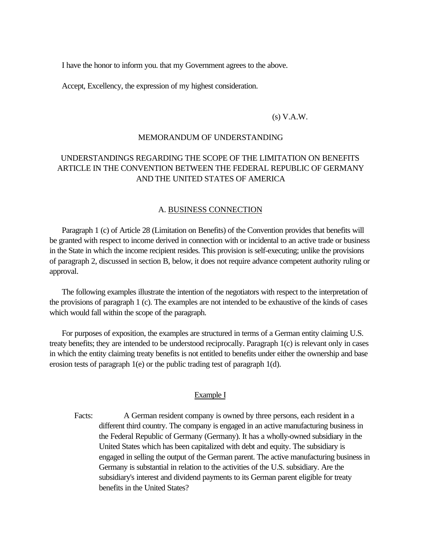I have the honor to inform you. that my Government agrees to the above.

Accept, Excellency, the expression of my highest consideration.

#### (s) V.A.W.

#### MEMORANDUM OF UNDERSTANDING

# <span id="page-6-0"></span>UNDERSTANDINGS REGARDING THE SCOPE OF THE LIMITATION ON BENEFITS ARTICLE IN THE CONVENTION BETWEEN THE FEDERAL REPUBLIC OF GERMANY AND THE UNITED STATES OF AMERICA

#### A. BUSINESS CONNECTION

 Paragraph 1 (c) of Article 28 (Limitation on Benefits) of the Convention provides that benefits will be granted with respect to income derived in connection with or incidental to an active trade or business in the State in which the income recipient resides. This provision is self-executing; unlike the provisions of paragraph 2, discussed in section B, below, it does not require advance competent authority ruling or approval.

 The following examples illustrate the intention of the negotiators with respect to the interpretation of the provisions of paragraph 1 (c). The examples are not intended to be exhaustive of the kinds of cases which would fall within the scope of the paragraph.

 For purposes of exposition, the examples are structured in terms of a German entity claiming U.S. treaty benefits; they are intended to be understood reciprocally. Paragraph 1(c) is relevant only in cases in which the entity claiming treaty benefits is not entitled to benefits under either the ownership and base erosion tests of paragraph 1(e) or the public trading test of paragraph 1(d).

#### Example I

Facts: A German resident company is owned by three persons, each resident in a different third country. The company is engaged in an active manufacturing business in the Federal Republic of Germany (Germany). It has a wholly-owned subsidiary in the United States which has been capitalized with debt and equity. The subsidiary is engaged in selling the output of the German parent. The active manufacturing business in Germany is substantial in relation to the activities of the U.S. subsidiary. Are the subsidiary's interest and dividend payments to its German parent eligible for treaty benefits in the United States?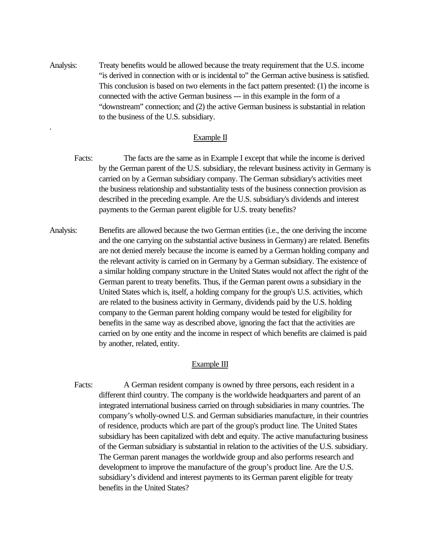Analysis: Treaty benefits would be allowed because the treaty requirement that the U.S. income "is derived in connection with or is incidental to" the German active business is satisfied. This conclusion is based on two elements in the fact pattern presented: (1) the income is connected with the active German business --- in this example in the form of a "downstream" connection; and (2) the active German business is substantial in relation to the business of the U.S. subsidiary.

#### Example II

.

- Facts: The facts are the same as in Example I except that while the income is derived by the German parent of the U.S. subsidiary, the relevant business activity in Germany is carried on by a German subsidiary company. The German subsidiary's activities meet the business relationship and substantiality tests of the business connection provision as described in the preceding example. Are the U.S. subsidiary's dividends and interest payments to the German parent eligible for U.S. treaty benefits?
- Analysis: Benefits are allowed because the two German entities (i.e., the one deriving the income and the one carrying on the substantial active business in Germany) are related. Benefits are not denied merely because the income is earned by a German holding company and the relevant activity is carried on in Germany by a German subsidiary. The existence of a similar holding company structure in the United States would not affect the right of the German parent to treaty benefits. Thus, if the German parent owns a subsidiary in the United States which is, itself, a holding company for the group's U.S. activities, which are related to the business activity in Germany, dividends paid by the U.S. holding company to the German parent holding company would be tested for eligibility for benefits in the same way as described above, ignoring the fact that the activities are carried on by one entity and the income in respect of which benefits are claimed is paid by another, related, entity.

#### Example III

Facts: A German resident company is owned by three persons, each resident in a different third country. The company is the worldwide headquarters and parent of an integrated international business carried on through subsidiaries in many countries. The company's wholly-owned U.S. and German subsidiaries manufacture, in their countries of residence, products which are part of the group's product line. The United States subsidiary has been capitalized with debt and equity. The active manufacturing business of the German subsidiary is substantial in relation to the activities of the U.S. subsidiary. The German parent manages the worldwide group and also performs research and development to improve the manufacture of the group's product line. Are the U.S. subsidiary's dividend and interest payments to its German parent eligible for treaty benefits in the United States?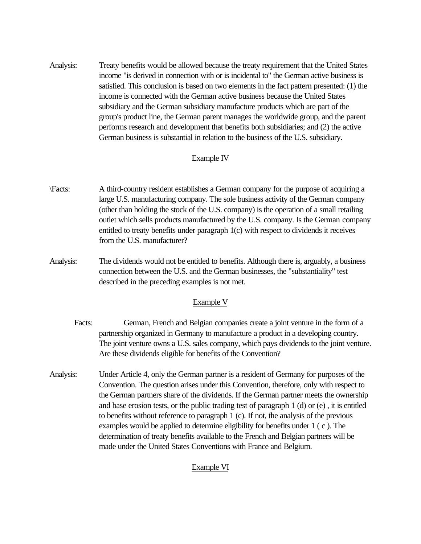Analysis: Treaty benefits would be allowed because the treaty requirement that the United States income "is derived in connection with or is incidental to" the German active business is satisfied. This conclusion is based on two elements in the fact pattern presented: (1) the income is connected with the German active business because the United States subsidiary and the German subsidiary manufacture products which are part of the group's product line, the German parent manages the worldwide group, and the parent performs research and development that benefits both subsidiaries; and (2) the active German business is substantial in relation to the business of the U.S. subsidiary.

## Example IV

- \Facts: A third-country resident establishes a German company for the purpose of acquiring a large U.S. manufacturing company. The sole business activity of the German company (other than holding the stock of the U.S. company) is the operation of a small retailing outlet which sells products manufactured by the U.S. company. Is the German company entitled to treaty benefits under paragraph 1(c) with respect to dividends it receives from the U.S. manufacturer?
- Analysis: The dividends would not be entitled to benefits. Although there is, arguably, a business connection between the U.S. and the German businesses, the "substantiality" test described in the preceding examples is not met.

## Example V

- Facts: German, French and Belgian companies create a joint venture in the form of a partnership organized in Germany to manufacture a product in a developing country. The joint venture owns a U.S. sales company, which pays dividends to the joint venture. Are these dividends eligible for benefits of the Convention?
- Analysis: Under Article 4, only the German partner is a resident of Germany for purposes of the Convention. The question arises under this Convention, therefore, only with respect to the German partners share of the dividends. If the German partner meets the ownership and base erosion tests, or the public trading test of paragraph 1 (d) or (e) , it is entitled to benefits without reference to paragraph 1 (c). If not, the analysis of the previous examples would be applied to determine eligibility for benefits under 1 ( c ). The determination of treaty benefits available to the French and Belgian partners will be made under the United States Conventions with France and Belgium.

# Example VI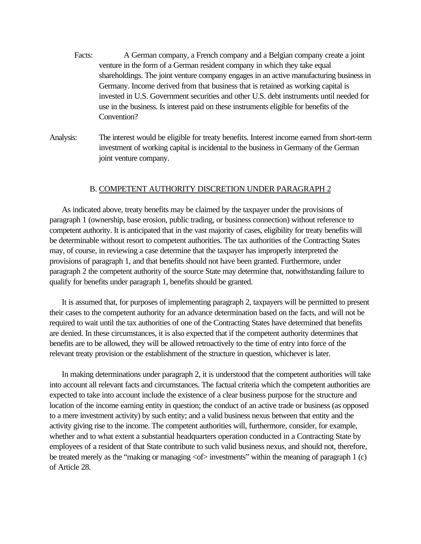- Facts: A German company, a French company and a Belgian company create a joint venture in the form of a German resident company in which they take equal shareholdings. The joint venture company engages in an active manufacturing business in Germany. Income derived from that business that is retained as working capital is invested in U.S. Government securities and other U.S. debt instruments until needed for use in the business. Is interest paid on these instruments eligible for benefits of the Convention?
- Analysis: The interest would be eligible for treaty benefits. Interest income earned from short-term investment of working capital is incidental to the business in Germany of the German joint venture company.

#### B. COMPETENT AUTHORITY DISCRETION UNDER PARAGRAPH 2

 As indicated above, treaty benefits may be claimed by the taxpayer under the provisions of paragraph 1 (ownership, base erosion, public trading, or business connection) without reference to competent authority. It is anticipated that in the vast majority of cases, eligibility for treaty benefits will be determinable without resort to competent authorities. The tax authorities of the Contracting States may, of course, in reviewing a case determine that the taxpayer has improperly interpreted the provisions of paragraph 1, and that benefits should not have been granted. Furthermore, under paragraph 2 the competent authority of the source State may determine that, notwithstanding failure to qualify for benefits under paragraph 1, benefits should be granted.

 It is assumed that, for purposes of implementing paragraph 2, taxpayers will be permitted to present their cases to the competent authority for an advance determination based on the facts, and will not be required to wait until the tax authorities of one of the Contracting States have determined that benefits are denied. In these circumstances, it is also expected that if the competent authority determines that benefits are to be allowed, they will be allowed retroactively to the time of entry into force of the relevant treaty provision or the establishment of the structure in question, whichever is later.

 In making determinations under paragraph 2, it is understood that the competent authorities will take into account all relevant facts and circumstances. The factual criteria which the competent authorities are expected to take into account include the existence of a clear business purpose for the structure and location of the income earning entity in question; the conduct of an active trade or business (as opposed to a mere investment activity) by such entity; and a valid business nexus between that entity and the activity giving rise to the income. The competent authorities will, furthermore, consider, for example, whether and to what extent a substantial headquarters operation conducted in a Contracting State by employees of a resident of that State contribute to such valid business nexus, and should not, therefore, be treated merely as the "making or managing <of> investments" within the meaning of paragraph 1 (c) of Article 28.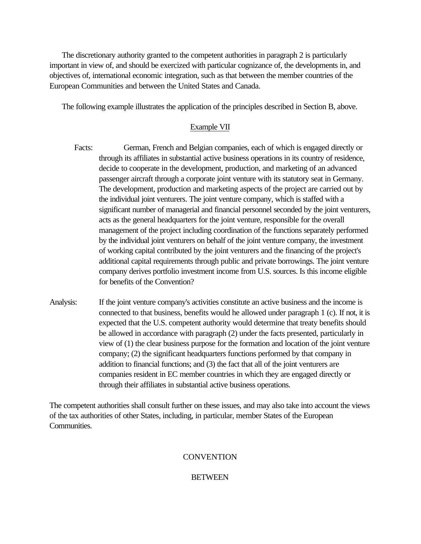The discretionary authority granted to the competent authorities in paragraph 2 is particularly important in view of, and should be exercized with particular cognizance of, the developments in, and objectives of, international economic integration, such as that between the member countries of the European Communities and between the United States and Canada.

The following example illustrates the application of the principles described in Section B, above.

## Example VII

- Facts: German, French and Belgian companies, each of which is engaged directly or through its affiliates in substantial active business operations in its country of residence, decide to cooperate in the development, production, and marketing of an advanced passenger aircraft through a corporate joint venture with its statutory seat in Germany. The development, production and marketing aspects of the project are carried out by the individual joint venturers. The joint venture company, which is staffed with a significant number of managerial and financial personnel seconded by the joint venturers, acts as the general headquarters for the joint venture, responsible for the overall management of the project including coordination of the functions separately performed by the individual joint venturers on behalf of the joint venture company, the investment of working capital contributed by the joint venturers and the financing of the project's additional capital requirements through public and private borrowings. The joint venture company derives portfolio investment income from U.S. sources. Is this income eligible for benefits of the Convention?
- Analysis: If the joint venture company's activities constitute an active business and the income is connected to that business, benefits would he allowed under paragraph 1 (c). If not, it is expected that the U.S. competent authority would determine that treaty benefits should be allowed in accordance with paragraph (2) under the facts presented, particularly in view of (1) the clear business purpose for the formation and location of the joint venture company; (2) the significant headquarters functions performed by that company in addition to financial functions; and (3) the fact that all of the joint venturers are companies resident in EC member countries in which they are engaged directly or through their affiliates in substantial active business operations.

The competent authorities shall consult further on these issues, and may also take into account the views of the tax authorities of other States, including, in particular, member States of the European Communities.

## **CONVENTION**

#### **BETWEEN**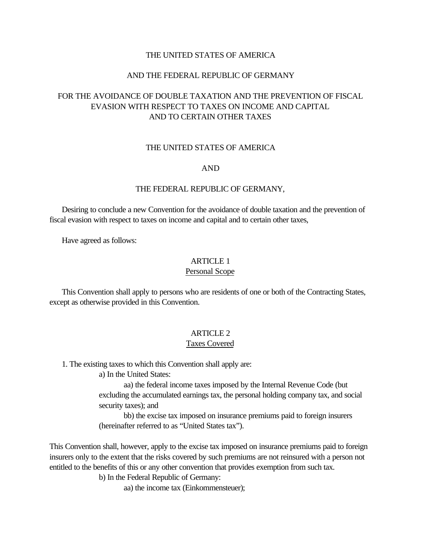#### THE UNITED STATES OF AMERICA

#### AND THE FEDERAL REPUBLIC OF GERMANY

# <span id="page-11-0"></span>FOR THE AVOIDANCE OF DOUBLE TAXATION AND THE PREVENTION OF FISCAL EVASION WITH RESPECT TO TAXES ON INCOME AND CAPITAL AND TO CERTAIN OTHER TAXES

#### THE UNITED STATES OF AMERICA

#### AND

#### THE FEDERAL REPUBLIC OF GERMANY,

 Desiring to conclude a new Convention for the avoidance of double taxation and the prevention of fiscal evasion with respect to taxes on income and capital and to certain other taxes,

Have agreed as follows:

#### ARTICLE 1

#### Personal Scope

 This Convention shall apply to persons who are residents of one or both of the Contracting States, except as otherwise provided in this Convention.

# ARTICLE 2

#### Taxes Covered

1. The existing taxes to which this Convention shall apply are:

a) In the United States:

aa) the federal income taxes imposed by the Internal Revenue Code (but excluding the accumulated earnings tax, the personal holding company tax, and social security taxes); and

bb) the excise tax imposed on insurance premiums paid to foreign insurers (hereinafter referred to as "United States tax").

This Convention shall, however, apply to the excise tax imposed on insurance premiums paid to foreign insurers only to the extent that the risks covered by such premiums are not reinsured with a person not entitled to the benefits of this or any other convention that provides exemption from such tax.

b) In the Federal Republic of Germany:

aa) the income tax (Einkommensteuer);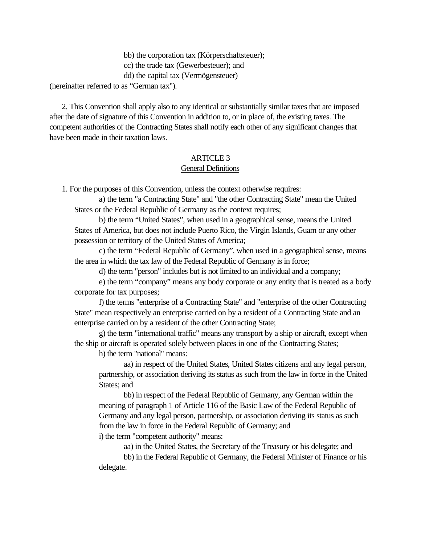bb) the corporation tax (Körperschaftsteuer); cc) the trade tax (Gewerbesteuer); and dd) the capital tax (Vermögensteuer)

<span id="page-12-0"></span>(hereinafter referred to as "German tax").

 2. This Convention shall apply also to any identical or substantially similar taxes that are imposed after the date of signature of this Convention in addition to, or in place of, the existing taxes. The competent authorities of the Contracting States shall notify each other of any significant changes that have been made in their taxation laws.

#### ARTICLE 3

#### General Definitions

1. For the purposes of this Convention, unless the context otherwise requires:

a) the term "a Contracting State" and "the other Contracting State" mean the United States or the Federal Republic of Germany as the context requires;

b) the term "United States", when used in a geographical sense, means the United States of America, but does not include Puerto Rico, the Virgin Islands, Guam or any other possession or territory of the United States of America;

c) the term "Federal Republic of Germany", when used in a geographical sense, means the area in which the tax law of the Federal Republic of Germany is in force;

d) the term "person" includes but is not limited to an individual and a company;

e) the term "company" means any body corporate or any entity that is treated as a body corporate for tax purposes;

f) the terms "enterprise of a Contracting State" and "enterprise of the other Contracting State" mean respectively an enterprise carried on by a resident of a Contracting State and an enterprise carried on by a resident of the other Contracting State;

g) the term "international traffic" means any transport by a ship or aircraft, except when the ship or aircraft is operated solely between places in one of the Contracting States;

h) the term "national" means:

aa) in respect of the United States, United States citizens and any legal person, partnership, or association deriving its status as such from the law in force in the United States; and

bb) in respect of the Federal Republic of Germany, any German within the meaning of paragraph 1 of Article 116 of the Basic Law of the Federal Republic of Germany and any legal person, partnership, or association deriving its status as such from the law in force in the Federal Republic of Germany; and

i) the term "competent authority" means:

aa) in the United States, the Secretary of the Treasury or his delegate; and

bb) in the Federal Republic of Germany, the Federal Minister of Finance or his delegate.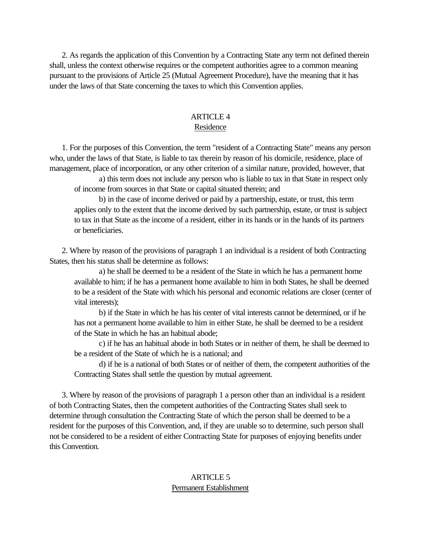<span id="page-13-0"></span> 2. As regards the application of this Convention by a Contracting State any term not defined therein shall, unless the context otherwise requires or the competent authorities agree to a common meaning pursuant to the provisions of Article 25 (Mutual Agreement Procedure), have the meaning that it has under the laws of that State concerning the taxes to which this Convention applies.

#### ARTICLE 4 Residence

 1. For the purposes of this Convention, the term "resident of a Contracting State" means any person who, under the laws of that State, is liable to tax therein by reason of his domicile, residence, place of management, place of incorporation, or any other criterion of a similar nature, provided, however, that

a) this term does not include any person who is liable to tax in that State in respect only of income from sources in that State or capital situated therein; and

b) in the case of income derived or paid by a partnership, estate, or trust, this term applies only to the extent that the income derived by such partnership, estate, or trust is subject to tax in that State as the income of a resident, either in its hands or in the hands of its partners or beneficiaries.

 2. Where by reason of the provisions of paragraph 1 an individual is a resident of both Contracting States, then his status shall be determine as follows:

a) he shall be deemed to be a resident of the State in which he has a permanent home available to him; if he has a permanent home available to him in both States, he shall be deemed to be a resident of the State with which his personal and economic relations are closer (center of vital interests);

b) if the State in which he has his center of vital interests cannot be determined, or if he has not a permanent home available to him in either State, he shall be deemed to be a resident of the State in which he has an habitual abode;

c) if he has an habitual abode in both States or in neither of them, he shall be deemed to be a resident of the State of which he is a national; and

d) if he is a national of both States or of neither of them, the competent authorities of the Contracting States shall settle the question by mutual agreement.

 3. Where by reason of the provisions of paragraph 1 a person other than an individual is a resident of both Contracting States, then the competent authorities of the Contracting States shall seek to determine through consultation the Contracting State of which the person shall be deemed to be a resident for the purposes of this Convention, and, if they are unable so to determine, such person shall not be considered to be a resident of either Contracting State for purposes of enjoying benefits under this Convention.

# ARTICLE 5 Permanent Establishment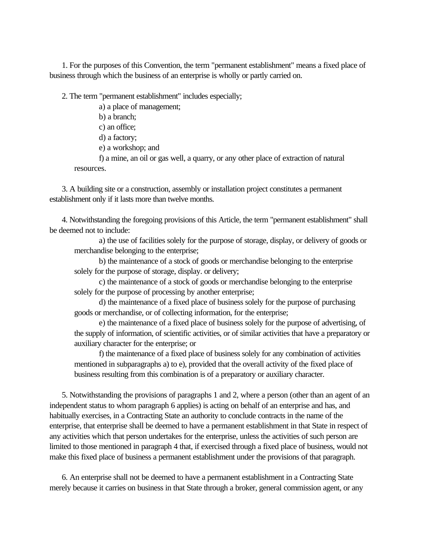<span id="page-14-0"></span> 1. For the purposes of this Convention, the term "permanent establishment" means a fixed place of business through which the business of an enterprise is wholly or partly carried on.

2. The term "permanent establishment" includes especially;

a) a place of management;

b) a branch;

c) an office;

d) a factory;

e) a workshop; and

f) a mine, an oil or gas well, a quarry, or any other place of extraction of natural resources.

 3. A building site or a construction, assembly or installation project constitutes a permanent establishment only if it lasts more than twelve months.

 4. Notwithstanding the foregoing provisions of this Article, the term "permanent establishment" shall be deemed not to include:

a) the use of facilities solely for the purpose of storage, display, or delivery of goods or merchandise belonging to the enterprise;

b) the maintenance of a stock of goods or merchandise belonging to the enterprise solely for the purpose of storage, display. or delivery;

c) the maintenance of a stock of goods or merchandise belonging to the enterprise solely for the purpose of processing by another enterprise;

d) the maintenance of a fixed place of business solely for the purpose of purchasing goods or merchandise, or of collecting information, for the enterprise;

e) the maintenance of a fixed place of business solely for the purpose of advertising, of the supply of information, of scientific activities, or of similar activities that have a preparatory or auxiliary character for the enterprise; or

f) the maintenance of a fixed place of business solely for any combination of activities mentioned in subparagraphs a) to e), provided that the overall activity of the fixed place of business resulting from this combination is of a preparatory or auxiliary character.

 5. Notwithstanding the provisions of paragraphs 1 and 2, where a person (other than an agent of an independent status to whom paragraph 6 applies) is acting on behalf of an enterprise and has, and habitually exercises, in a Contracting State an authority to conclude contracts in the name of the enterprise, that enterprise shall be deemed to have a permanent establishment in that State in respect of any activities which that person undertakes for the enterprise, unless the activities of such person are limited to those mentioned in paragraph 4 that, if exercised through a fixed place of business, would not make this fixed place of business a permanent establishment under the provisions of that paragraph.

 6. An enterprise shall not be deemed to have a permanent establishment in a Contracting State merely because it carries on business in that State through a broker, general commission agent, or any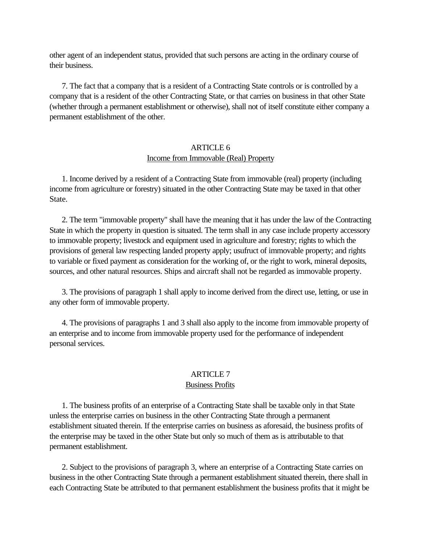<span id="page-15-0"></span>other agent of an independent status, provided that such persons are acting in the ordinary course of their business.

 7. The fact that a company that is a resident of a Contracting State controls or is controlled by a company that is a resident of the other Contracting State, or that carries on business in that other State (whether through a permanent establishment or otherwise), shall not of itself constitute either company a permanent establishment of the other.

# ARTICLE 6 Income from Immovable (Real) Property

 1. Income derived by a resident of a Contracting State from immovable (real) property (including income from agriculture or forestry) situated in the other Contracting State may be taxed in that other State.

 2. The term "immovable property" shall have the meaning that it has under the law of the Contracting State in which the property in question is situated. The term shall in any case include property accessory to immovable property; livestock and equipment used in agriculture and forestry; rights to which the provisions of general law respecting landed property apply; usufruct of immovable property; and rights to variable or fixed payment as consideration for the working of, or the right to work, mineral deposits, sources, and other natural resources. Ships and aircraft shall not be regarded as immovable property.

 3. The provisions of paragraph 1 shall apply to income derived from the direct use, letting, or use in any other form of immovable property.

 4. The provisions of paragraphs 1 and 3 shall also apply to the income from immovable property of an enterprise and to income from immovable property used for the performance of independent personal services.

#### ARTICLE 7 Business Profits

 1. The business profits of an enterprise of a Contracting State shall be taxable only in that State unless the enterprise carries on business in the other Contracting State through a permanent establishment situated therein. If the enterprise carries on business as aforesaid, the business profits of the enterprise may be taxed in the other State but only so much of them as is attributable to that permanent establishment.

 2. Subject to the provisions of paragraph 3, where an enterprise of a Contracting State carries on business in the other Contracting State through a permanent establishment situated therein, there shall in each Contracting State be attributed to that permanent establishment the business profits that it might be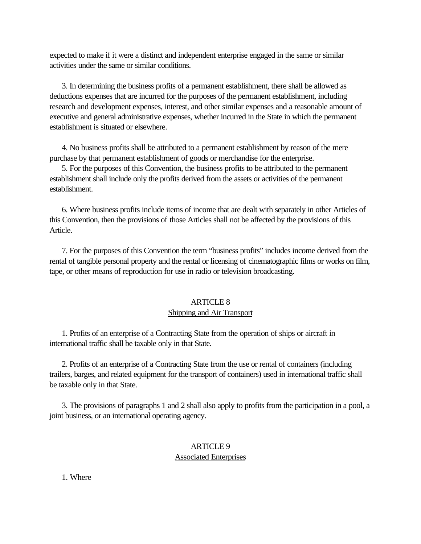<span id="page-16-0"></span>expected to make if it were a distinct and independent enterprise engaged in the same or similar activities under the same or similar conditions.

 3. In determining the business profits of a permanent establishment, there shall be allowed as deductions expenses that are incurred for the purposes of the permanent establishment, including research and development expenses, interest, and other similar expenses and a reasonable amount of executive and general administrative expenses, whether incurred in the State in which the permanent establishment is situated or elsewhere.

 4. No business profits shall be attributed to a permanent establishment by reason of the mere purchase by that permanent establishment of goods or merchandise for the enterprise.

 5. For the purposes of this Convention, the business profits to be attributed to the permanent establishment shall include only the profits derived from the assets or activities of the permanent establishment.

 6. Where business profits include items of income that are dealt with separately in other Articles of this Convention, then the provisions of those Articles shall not be affected by the provisions of this Article.

 7. For the purposes of this Convention the term "business profits" includes income derived from the rental of tangible personal property and the rental or licensing of cinematographic films or works on film, tape, or other means of reproduction for use in radio or television broadcasting.

## ARTICLE 8

# Shipping and Air Transport

 1. Profits of an enterprise of a Contracting State from the operation of ships or aircraft in international traffic shall be taxable only in that State.

 2. Profits of an enterprise of a Contracting State from the use or rental of containers (including trailers, barges, and related equipment for the transport of containers) used in international traffic shall be taxable only in that State.

 3. The provisions of paragraphs 1 and 2 shall also apply to profits from the participation in a pool, a joint business, or an international operating agency.

# ARTICLE 9 Associated Enterprises

1. Where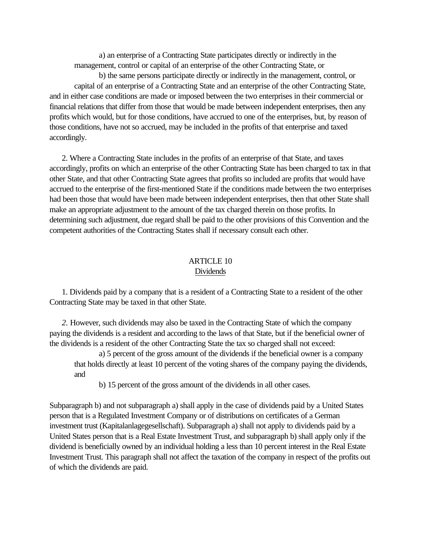a) an enterprise of a Contracting State participates directly or indirectly in the management, control or capital of an enterprise of the other Contracting State, or

<span id="page-17-0"></span>b) the same persons participate directly or indirectly in the management, control, or capital of an enterprise of a Contracting State and an enterprise of the other Contracting State, and in either case conditions are made or imposed between the two enterprises in their commercial or financial relations that differ from those that would be made between independent enterprises, then any profits which would, but for those conditions, have accrued to one of the enterprises, but, by reason of those conditions, have not so accrued, may be included in the profits of that enterprise and taxed accordingly.

 2. Where a Contracting State includes in the profits of an enterprise of that State, and taxes accordingly, profits on which an enterprise of the other Contracting State has been charged to tax in that other State, and that other Contracting State agrees that profits so included are profits that would have accrued to the enterprise of the first-mentioned State if the conditions made between the two enterprises had been those that would have been made between independent enterprises, then that other State shall make an appropriate adjustment to the amount of the tax charged therein on those profits. In determining such adjustment, due regard shall be paid to the other provisions of this Convention and the competent authorities of the Contracting States shall if necessary consult each other.

#### ARTICLE 10 Dividends

 1. Dividends paid by a company that is a resident of a Contracting State to a resident of the other Contracting State may be taxed in that other State.

 *2.* However, such dividends may also be taxed in the Contracting State of which the company paying the dividends is a resident and according to the laws of that State, but if the beneficial owner of the dividends is a resident of the other Contracting State the tax so charged shall not exceed:

a) 5 percent of the gross amount of the dividends if the beneficial owner is a company that holds directly at least 10 percent of the voting shares of the company paying the dividends, and

b) 15 percent of the gross amount of the dividends in all other cases.

Subparagraph b) and not subparagraph a) shall apply in the case of dividends paid by a United States person that is a Regulated Investment Company or of distributions on certificates of a German investment trust (Kapitalanlagegesellschaft). Subparagraph a) shall not apply to dividends paid by a United States person that is a Real Estate Investment Trust, and subparagraph b) shall apply only if the dividend is beneficially owned by an individual holding a less than 10 percent interest in the Real Estate Investment Trust. This paragraph shall not affect the taxation of the company in respect of the profits out of which the dividends are paid.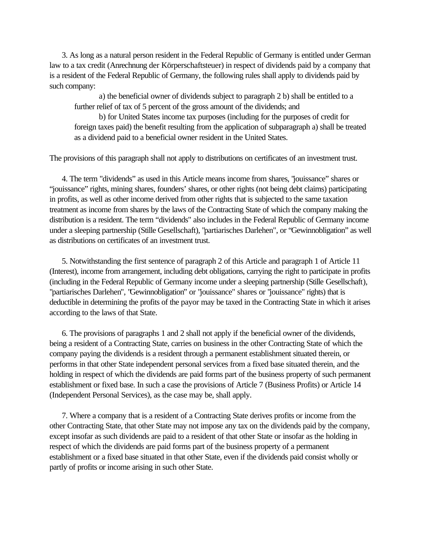3. As long as a natural person resident in the Federal Republic of Germany is entitled under German law to a tax credit (Anrechnung der Körperschaftsteuer) in respect of dividends paid by a company that is a resident of the Federal Republic of Germany, the following rules shall apply to dividends paid by such company:

a) the beneficial owner of dividends subject to paragraph 2 b) shall be entitled to a further relief of tax of 5 percent of the gross amount of the dividends; and

b) for United States income tax purposes (including for the purposes of credit for foreign taxes paid) the benefit resulting from the application of subparagraph a) shall be treated as a dividend paid to a beneficial owner resident in the United States.

The provisions of this paragraph shall not apply to distributions on certificates of an investment trust.

 4. The term "dividends" as used in this Article means income from shares, "jouissance" shares or "jouissance" rights, mining shares, founders' shares, or other rights (not being debt claims) participating in profits, as well as other income derived from other rights that is subjected to the same taxation treatment as income from shares by the laws of the Contracting State of which the company making the distribution is a resident. The term "dividends" also includes in the Federal Republic of Germany income under a sleeping partnership (Stille Gesellschaft), "partiarisches Darlehen", or "Gewinnobligation" as well as distributions on certificates of an investment trust.

 5. Notwithstanding the first sentence of paragraph 2 of this Article and paragraph 1 of Article 11 (Interest), income from arrangement, including debt obligations, carrying the right to participate in profits (including in the Federal Republic of Germany income under a sleeping partnership (Stille Gesellschaft), "partiarisches Darlehen", "Gewinnobligation" or "jouissance" shares or "jouissance" rights) that is deductible in determining the profits of the payor may be taxed in the Contracting State in which it arises according to the laws of that State.

 6. The provisions of paragraphs 1 and 2 shall not apply if the beneficial owner of the dividends, being a resident of a Contracting State, carries on business in the other Contracting State of which the company paying the dividends is a resident through a permanent establishment situated therein, or performs in that other State independent personal services from a fixed base situated therein, and the holding in respect of which the dividends are paid forms part of the business property of such permanent establishment or fixed base. In such a case the provisions of Article 7 (Business Profits) or Article 14 (Independent Personal Services), as the case may be, shall apply.

 7. Where a company that is a resident of a Contracting State derives profits or income from the other Contracting State, that other State may not impose any tax on the dividends paid by the company, except insofar as such dividends are paid to a resident of that other State or insofar as the holding in respect of which the dividends are paid forms part of the business property of a permanent establishment or a fixed base situated in that other State, even if the dividends paid consist wholly or partly of profits or income arising in such other State.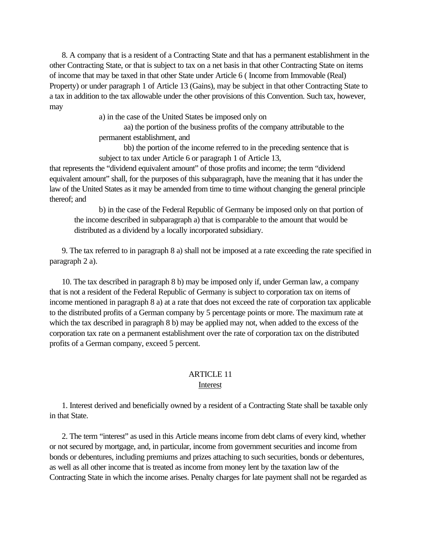<span id="page-19-0"></span> 8. A company that is a resident of a Contracting State and that has a permanent establishment in the other Contracting State, or that is subject to tax on a net basis in that other Contracting State on items of income that may be taxed in that other State under Article 6 ( Income from Immovable (Real) Property) or under paragraph 1 of Article 13 (Gains), may be subject in that other Contracting State to a tax in addition to the tax allowable under the other provisions of this Convention. Such tax, however, may

a) in the case of the United States be imposed only on

aa) the portion of the business profits of the company attributable to the permanent establishment, and

bb) the portion of the income referred to in the preceding sentence that is subject to tax under Article 6 or paragraph 1 of Article 13,

that represents the "dividend equivalent amount" of those profits and income; the term "dividend equivalent amount" shall, for the purposes of this subparagraph, have the meaning that it has under the law of the United States as it may be amended from time to time without changing the general principle thereof; and

b) in the case of the Federal Republic of Germany be imposed only on that portion of the income described in subparagraph a) that is comparable to the amount that would be distributed as a dividend by a locally incorporated subsidiary.

 9. The tax referred to in paragraph 8 a) shall not be imposed at a rate exceeding the rate specified in paragraph 2 a).

 10. The tax described in paragraph 8 b) may be imposed only if, under German law, a company that is not a resident of the Federal Republic of Germany is subject to corporation tax on items of income mentioned in paragraph 8 a) at a rate that does not exceed the rate of corporation tax applicable to the distributed profits of a German company by 5 percentage points or more. The maximum rate at which the tax described in paragraph 8 b) may be applied may not, when added to the excess of the corporation tax rate on a permanent establishment over the rate of corporation tax on the distributed profits of a German company, exceed 5 percent.

# ARTICLE 11 Interest

 1. Interest derived and beneficially owned by a resident of a Contracting State shall be taxable only in that State.

 2. The term "interest" as used in this Article means income from debt clams of every kind, whether or not secured by mortgage, and, in particular, income from government securities and income from bonds or debentures, including premiums and prizes attaching to such securities, bonds or debentures, as well as all other income that is treated as income from money lent by the taxation law of the Contracting State in which the income arises. Penalty charges for late payment shall not be regarded as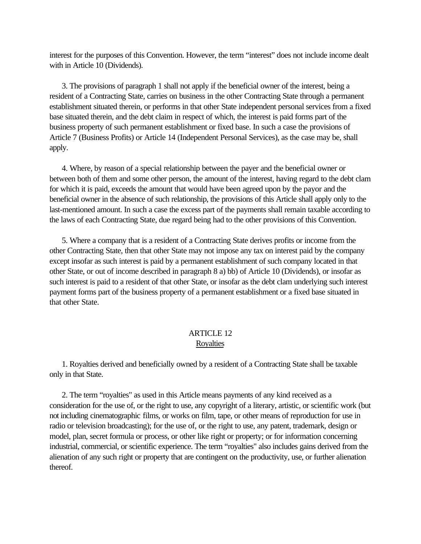<span id="page-20-0"></span>interest for the purposes of this Convention. However, the term "interest" does not include income dealt with in Article 10 (Dividends).

 3. The provisions of paragraph 1 shall not apply if the beneficial owner of the interest, being a resident of a Contracting State, carries on business in the other Contracting State through a permanent establishment situated therein, or performs in that other State independent personal services from a fixed base situated therein, and the debt claim in respect of which, the interest is paid forms part of the business property of such permanent establishment or fixed base. In such a case the provisions of Article 7 (Business Profits) or Article 14 (Independent Personal Services), as the case may be, shall apply.

 4. Where, by reason of a special relationship between the payer and the beneficial owner or between both of them and some other person, the amount of the interest, having regard to the debt clam for which it is paid, exceeds the amount that would have been agreed upon by the payor and the beneficial owner in the absence of such relationship, the provisions of this Article shall apply only to the last-mentioned amount. In such a case the excess part of the payments shall remain taxable according to the laws of each Contracting State, due regard being had to the other provisions of this Convention.

 5. Where a company that is a resident of a Contracting State derives profits or income from the other Contracting State, then that other State may not impose any tax on interest paid by the company except insofar as such interest is paid by a permanent establishment of such company located in that other State, or out of income described in paragraph 8 a) bb) of Article 10 (Dividends), or insofar as such interest is paid to a resident of that other State, or insofar as the debt clam underlying such interest payment forms part of the business property of a permanent establishment or a fixed base situated in that other State.

# ARTICLE 12 **Royalties**

 1. Royalties derived and beneficially owned by a resident of a Contracting State shall be taxable only in that State.

 2. The term "royalties" as used in this Article means payments of any kind received as a consideration for the use of, or the right to use, any copyright of a literary, artistic, or scientific work (but not including cinematographic films, or works on film, tape, or other means of reproduction for use in radio or television broadcasting); for the use of, or the right to use, any patent, trademark, design or model, plan, secret formula or process, or other like right or property; or for information concerning industrial, commercial, or scientific experience. The term "royalties" also includes gains derived from the alienation of any such right or property that are contingent on the productivity, use, or further alienation thereof.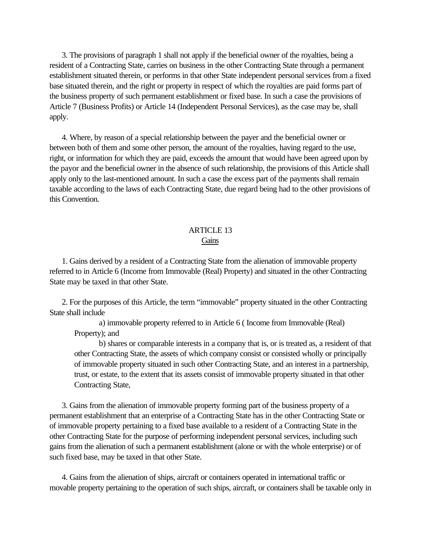<span id="page-21-0"></span> 3. The provisions of paragraph 1 shall not apply if the beneficial owner of the royalties, being a resident of a Contracting State, carries on business in the other Contracting State through a permanent establishment situated therein, or performs in that other State independent personal services from a fixed base situated therein, and the right or property in respect of which the royalties are paid forms part of the business property of such permanent establishment or fixed base. In such a case the provisions of Article 7 (Business Profits) or Article 14 (Independent Personal Services), as the case may be, shall apply.

 4. Where, by reason of a special relationship between the payer and the beneficial owner or between both of them and some other person, the amount of the royalties, having regard to the use, right, or information for which they are paid, exceeds the amount that would have been agreed upon by the payor and the beneficial owner in the absence of such relationship, the provisions of this Article shall apply only to the last-mentioned amount. In such a case the excess part of the payments shall remain taxable according to the laws of each Contracting State, due regard being had to the other provisions of this Convention.

# ARTICLE 13 **Gains**

 1. Gains derived by a resident of a Contracting State from the alienation of immovable property referred to in Article 6 (Income from Immovable (Real) Property) and situated in the other Contracting State may be taxed in that other State.

 2. For the purposes of this Article, the term "immovable" property situated in the other Contracting State shall include

a) immovable property referred to in Article 6 ( Income from Immovable (Real) Property); and

b) shares or comparable interests in a company that is, or is treated as, a resident of that other Contracting State, the assets of which company consist or consisted wholly or principally of immovable property situated in such other Contracting State, and an interest in a partnership, trust, or estate, to the extent that its assets consist of immovable property situated in that other Contracting State,

 3. Gains from the alienation of immovable property forming part of the business property of a permanent establishment that an enterprise of a Contracting State has in the other Contracting State or of immovable property pertaining to a fixed base available to a resident of a Contracting State in the other Contracting State for the purpose of performing independent personal services, including such gains from the alienation of such a permanent establishment (alone or with the whole enterprise) or of such fixed base, may be taxed in that other State.

 4. Gains from the alienation of ships, aircraft or containers operated in international traffic or movable property pertaining to the operation of such ships, aircraft, or containers shall be taxable only in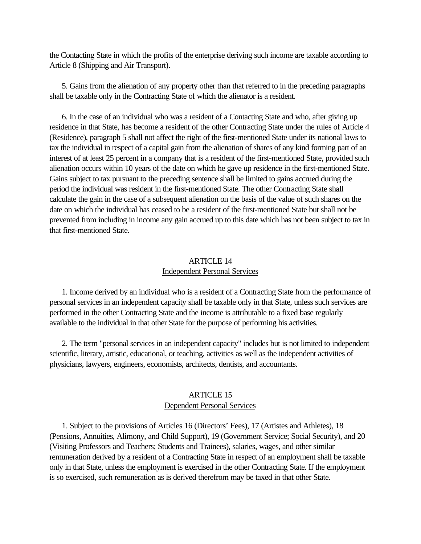<span id="page-22-0"></span>the Contacting State in which the profits of the enterprise deriving such income are taxable according to Article 8 (Shipping and Air Transport).

 5. Gains from the alienation of any property other than that referred to in the preceding paragraphs shall be taxable only in the Contracting State of which the alienator is a resident.

 6. In the case of an individual who was a resident of a Contacting State and who, after giving up residence in that State, has become a resident of the other Contracting State under the rules of Article 4 (Residence), paragraph 5 shall not affect the right of the first-mentioned State under its national laws to tax the individual in respect of a capital gain from the alienation of shares of any kind forming part of an interest of at least 25 percent in a company that is a resident of the first-mentioned State, provided such alienation occurs within 10 years of the date on which he gave up residence in the first-mentioned State. Gains subject to tax pursuant to the preceding sentence shall be limited to gains accrued during the period the individual was resident in the first-mentioned State. The other Contracting State shall calculate the gain in the case of a subsequent alienation on the basis of the value of such shares on the date on which the individual has ceased to be a resident of the first-mentioned State but shall not be prevented from including in income any gain accrued up to this date which has not been subject to tax in that first-mentioned State.

# ARTICLE 14 Independent Personal Services

 1. Income derived by an individual who is a resident of a Contracting State from the performance of personal services in an independent capacity shall be taxable only in that State, unless such services are performed in the other Contracting State and the income is attributable to a fixed base regularly available to the individual in that other State for the purpose of performing his activities.

 2. The term "personal services in an independent capacity" includes but is not limited to independent scientific, literary, artistic, educational, or teaching, activities as well as the independent activities of physicians, lawyers, engineers, economists, architects, dentists, and accountants.

# ARTICLE 15 Dependent Personal Services

 1. Subject to the provisions of Articles 16 (Directors' Fees), 17 (Artistes and Athletes), 18 (Pensions, Annuities, Alimony, and Child Support), 19 (Government Service; Social Security), and 20 (Visiting Professors and Teachers; Students and Trainees), salaries, wages, and other similar remuneration derived by a resident of a Contracting State in respect of an employment shall be taxable only in that State, unless the employment is exercised in the other Contracting State. If the employment is so exercised, such remuneration as is derived therefrom may be taxed in that other State.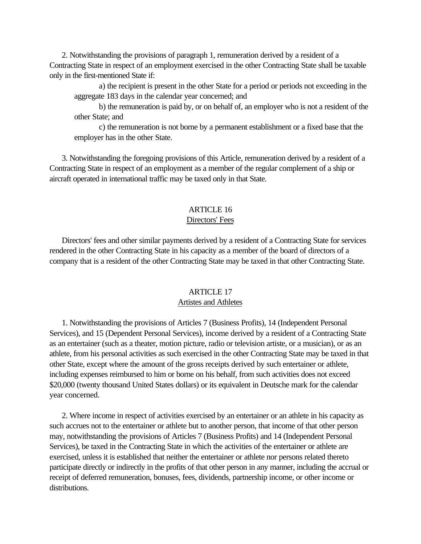<span id="page-23-0"></span> 2. Notwithstanding the provisions of paragraph 1, remuneration derived by a resident of a Contracting State in respect of an employment exercised in the other Contracting State shall be taxable only in the first-mentioned State if:

a) the recipient is present in the other State for a period or periods not exceeding in the aggregate 183 days in the calendar year concerned; and

b) the remuneration is paid by, or on behalf of, an employer who is not a resident of the other State; and

c) the remuneration is not borne by a permanent establishment or a fixed base that the employer has in the other State.

 3. Notwithstanding the foregoing provisions of this Article, remuneration derived by a resident of a Contracting State in respect of an employment as a member of the regular complement of a ship or aircraft operated in international traffic may be taxed only in that State.

# ARTICLE 16

#### Directors' Fees

 Directors' fees and other similar payments derived by a resident of a Contracting State for services rendered in the other Contracting State in his capacity as a member of the board of directors of a company that is a resident of the other Contracting State may be taxed in that other Contracting State.

#### ARTICLE 17

## Artistes and Athletes

 1. Notwithstanding the provisions of Articles 7 (Business Profits), 14 (Independent Personal Services), and 15 (Dependent Personal Services), income derived by a resident of a Contracting State as an entertainer (such as a theater, motion picture, radio or television artiste, or a musician), or as an athlete, from his personal activities as such exercised in the other Contracting State may be taxed in that other State, except where the amount of the gross receipts derived by such entertainer or athlete, including expenses reimbursed to him or borne on his behalf, from such activities does not exceed \$20,000 (twenty thousand United States dollars) or its equivalent in Deutsche mark for the calendar year concerned.

 2. Where income in respect of activities exercised by an entertainer or an athlete in his capacity as such accrues not to the entertainer or athlete but to another person, that income of that other person may, notwithstanding the provisions of Articles 7 (Business Profits) and 14 (Independent Personal Services), be taxed in the Contracting State in which the activities of the entertainer or athlete are exercised, unless it is established that neither the entertainer or athlete nor persons related thereto participate directly or indirectly in the profits of that other person in any manner, including the accrual or receipt of deferred remuneration, bonuses, fees, dividends, partnership income, or other income or distributions.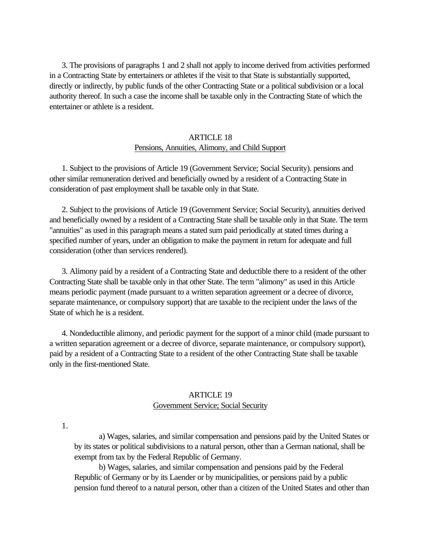<span id="page-24-0"></span> 3. The provisions of paragraphs 1 and 2 shall not apply to income derived from activities performed in a Contracting State by entertainers or athletes if the visit to that State is substantially supported, directly or indirectly, by public funds of the other Contracting State or a political subdivision or a local authority thereof. In such a case the income shall be taxable only in the Contracting State of which the entertainer or athlete is a resident.

#### ARTICLE 18

# Pensions, Annuities, Alimony, and Child Support

 1. Subject to the provisions of Article 19 (Government Service; Social Security). pensions and other similar remuneration derived and beneficially owned by a resident of a Contracting State in consideration of past employment shall be taxable only in that State.

 2. Subject to the provisions of Article 19 (Government Service; Social Security), annuities derived and beneficially owned by a resident of a Contracting State shall be taxable only in that State. The term "annuities" as used in this paragraph means a stated sum paid periodically at stated times during a specified number of years, under an obligation to make the payment in return for adequate and full consideration (other than services rendered).

 3. Alimony paid by a resident of a Contracting State and deductible there to a resident of the other Contracting State shall be taxable only in that other State. The term "alimony" as used in this Article means periodic payment (made pursuant to a written separation agreement or a decree of divorce, separate maintenance, or compulsory support) that are taxable to the recipient under the laws of the State of which he is a resident.

 4. Nondeductible alimony, and periodic payment for the support of a minor child (made pursuant to a written separation agreement or a decree of divorce, separate maintenance, or compulsory support), paid by a resident of a Contracting State to a resident of the other Contracting State shall be taxable only in the first-mentioned State.

#### ARTICLE 19 Government Service; Social Security

1.

a) Wages, salaries, and similar compensation and pensions paid by the United States or by its states or political subdivisions to a natural person, other than a German national, shall be exempt from tax by the Federal Republic of Germany.

b) Wages, salaries, and similar compensation and pensions paid by the Federal Republic of Germany or by its Laender or by municipalities, or pensions paid by a public pension fund thereof to a natural person, other than a citizen of the United States and other than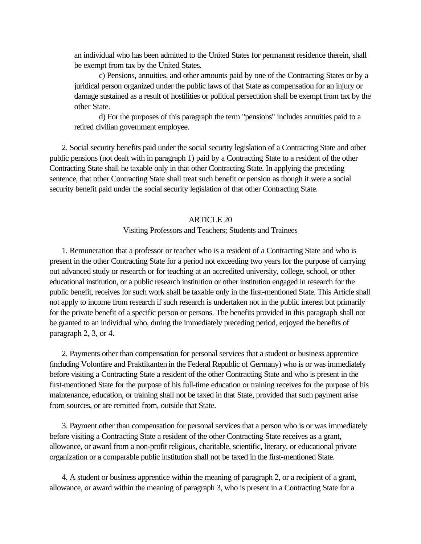<span id="page-25-0"></span>an individual who has been admitted to the United States for permanent residence therein, shall be exempt from tax by the United States.

c) Pensions, annuities, and other amounts paid by one of the Contracting States or by a juridical person organized under the public laws of that State as compensation for an injury or damage sustained as a result of hostilities or political persecution shall be exempt from tax by the other State.

d) For the purposes of this paragraph the term "pensions" includes annuities paid to a retired civilian government employee.

 2. Social security benefits paid under the social security legislation of a Contracting State and other public pensions (not dealt with in paragraph 1) paid by a Contracting State to a resident of the other Contracting State shall he taxable only in that other Contracting State. In applying the preceding sentence, that other Contracting State shall treat such benefit or pension as though it were a social security benefit paid under the social security legislation of that other Contracting State.

#### ARTICLE 20

#### Visiting Professors and Teachers; Students and Trainees

 1. Remuneration that a professor or teacher who is a resident of a Contracting State and who is present in the other Contracting State for a period not exceeding two years for the purpose of carrying out advanced study or research or for teaching at an accredited university, college, school, or other educational institution, or a public research institution or other institution engaged in research for the public benefit, receives for such work shall be taxable only in the first-mentioned State. This Article shall not apply to income from research if such research is undertaken not in the public interest but primarily for the private benefit of a specific person or persons. The benefits provided in this paragraph shall not be granted to an individual who, during the immediately preceding period, enjoyed the benefits of paragraph 2, 3, or 4.

 2. Payments other than compensation for personal services that a student or business apprentice (including Volontäre and Praktikanten in the Federal Republic of Germany) who is or was immediately before visiting a Contracting State a resident of the other Contracting State and who is present in the first-mentioned State for the purpose of his full-time education or training receives for the purpose of his maintenance, education, or training shall not be taxed in that State, provided that such payment arise from sources, or are remitted from, outside that State.

 3. Payment other than compensation for personal services that a person who is or was immediately before visiting a Contracting State a resident of the other Contracting State receives as a grant, allowance, or award from a non-profit religious, charitable, scientific, literary, or educational private organization or a comparable public institution shall not be taxed in the first-mentioned State.

 4. A student or business apprentice within the meaning of paragraph 2, or a recipient of a grant, allowance, or award within the meaning of paragraph 3, who is present in a Contracting State for a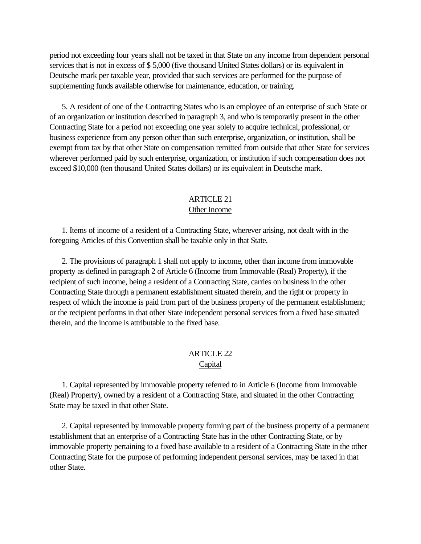<span id="page-26-0"></span>period not exceeding four years shall not be taxed in that State on any income from dependent personal services that is not in excess of \$ 5,000 (five thousand United States dollars) or its equivalent in Deutsche mark per taxable year, provided that such services are performed for the purpose of supplementing funds available otherwise for maintenance, education, or training.

 5. A resident of one of the Contracting States who is an employee of an enterprise of such State or of an organization or institution described in paragraph 3, and who is temporarily present in the other Contracting State for a period not exceeding one year solely to acquire technical, professional, or business experience from any person other than such enterprise, organization, or institution, shall be exempt from tax by that other State on compensation remitted from outside that other State for services wherever performed paid by such enterprise, organization, or institution if such compensation does not exceed \$10,000 (ten thousand United States dollars) or its equivalent in Deutsche mark.

# ARTICLE 21 Other Income

 1. Items of income of a resident of a Contracting State, wherever arising, not dealt with in the foregoing Articles of this Convention shall be taxable only in that State.

 2. The provisions of paragraph 1 shall not apply to income, other than income from immovable property as defined in paragraph 2 of Article 6 (Income from Immovable (Real) Property), if the recipient of such income, being a resident of a Contracting State, carries on business in the other Contracting State through a permanent establishment situated therein, and the right or property in respect of which the income is paid from part of the business property of the permanent establishment; or the recipient performs in that other State independent personal services from a fixed base situated therein, and the income is attributable to the fixed base.

# ARTICLE 22

## Capital

 1. Capital represented by immovable property referred to in Article 6 (Income from Immovable (Real) Property), owned by a resident of a Contracting State, and situated in the other Contracting State may be taxed in that other State.

 2. Capital represented by immovable property forming part of the business property of a permanent establishment that an enterprise of a Contracting State has in the other Contracting State, or by immovable property pertaining to a fixed base available to a resident of a Contracting State in the other Contracting State for the purpose of performing independent personal services, may be taxed in that other State.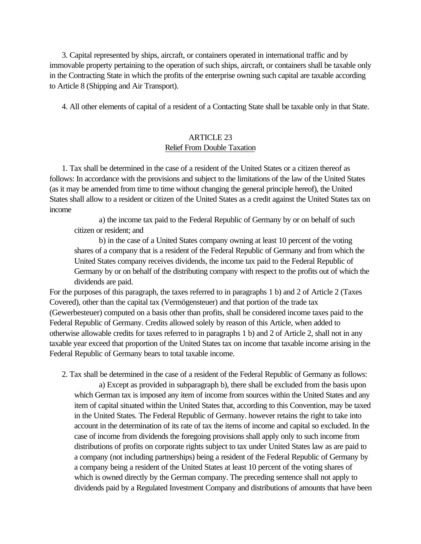<span id="page-27-0"></span> 3. Capital represented by ships, aircraft, or containers operated in international traffic and by immovable property pertaining to the operation of such ships, aircraft, or containers shall be taxable only in the Contracting State in which the profits of the enterprise owning such capital are taxable according to Article 8 (Shipping and Air Transport).

4. All other elements of capital of a resident of a Contacting State shall be taxable only in that State.

# ARTICLE 23 Relief From Double Taxation

 1. Tax shall be determined in the case of a resident of the United States or a citizen thereof as follows: In accordance with the provisions and subject to the limitations of the law of the United States (as it may be amended from time to time without changing the general principle hereof), the United States shall allow to a resident or citizen of the United States as a credit against the United States tax on income

a) the income tax paid to the Federal Republic of Germany by or on behalf of such citizen or resident; and

b) in the case of a United States company owning at least 10 percent of the voting shares of a company that is a resident of the Federal Republic of Germany and from which the United States company receives dividends, the income tax paid to the Federal Republic of Germany by or on behalf of the distributing company with respect to the profits out of which the dividends are paid.

For the purposes of this paragraph, the taxes referred to in paragraphs 1 b) and 2 of Article 2 (Taxes Covered), other than the capital tax (Vermögensteuer) and that portion of the trade tax (Gewerbesteuer) computed on a basis other than profits, shall be considered income taxes paid to the Federal Republic of Germany. Credits allowed solely by reason of this Article, when added to otherwise allowable credits for taxes referred to in paragraphs 1 b) and 2 of Article 2, shall not in any taxable year exceed that proportion of the United States tax on income that taxable income arising in the Federal Republic of Germany bears to total taxable income.

2. Tax shall be determined in the case of a resident of the Federal Republic of Germany as follows:

a) Except as provided in subparagraph b), there shall be excluded from the basis upon which German tax is imposed any item of income from sources within the United States and any item of capital situated within the United States that, according to this Convention, may be taxed in the United States. The Federal Republic of Germany. however retains the right to take into account in the determination of its rate of tax the items of income and capital so excluded. In the case of income from dividends the foregoing provisions shall apply only to such income from distributions of profits on corporate rights subject to tax under United States law as are paid to a company (not including partnerships) being a resident of the Federal Republic of Germany by a company being a resident of the United States at least 10 percent of the voting shares of which is owned directly by the German company. The preceding sentence shall not apply to dividends paid by a Regulated Investment Company and distributions of amounts that have been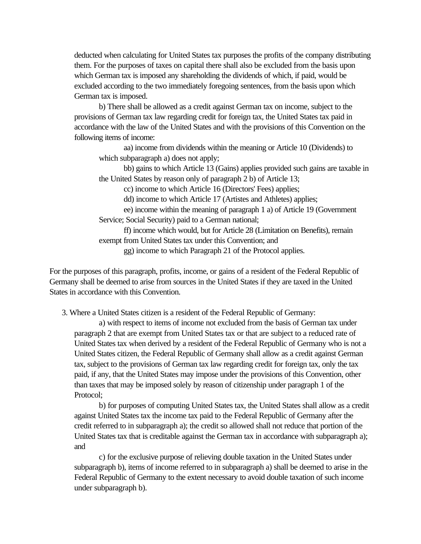deducted when calculating for United States tax purposes the profits of the company distributing them. For the purposes of taxes on capital there shall also be excluded from the basis upon which German tax is imposed any shareholding the dividends of which, if paid, would be excluded according to the two immediately foregoing sentences, from the basis upon which German tax is imposed.

b) There shall be allowed as a credit against German tax on income, subject to the provisions of German tax law regarding credit for foreign tax, the United States tax paid in accordance with the law of the United States and with the provisions of this Convention on the following items of income:

aa) income from dividends within the meaning or Article 10 (Dividends) to which subparagraph a) does not apply;

bb) gains to which Article 13 (Gains) applies provided such gains are taxable in the United States by reason only of paragraph 2 b) of Article 13;

cc) income to which Article 16 (Directors' Fees) applies;

dd) income to which Article 17 (Artistes and Athletes) applies;

ee) income within the meaning of paragraph 1 a) of Article 19 (Government Service; Social Security) paid to a German national;

ff) income which would, but for Article 28 (Limitation on Benefits), remain exempt from United States tax under this Convention; and

gg) income to which Paragraph 21 of the Protocol applies.

For the purposes of this paragraph, profits, income, or gains of a resident of the Federal Republic of Germany shall be deemed to arise from sources in the United States if they are taxed in the United States in accordance with this Convention.

3. Where a United States citizen is a resident of the Federal Republic of Germany:

a) with respect to items of income not excluded from the basis of German tax under paragraph 2 that are exempt from United States tax or that are subject to a reduced rate of United States tax when derived by a resident of the Federal Republic of Germany who is not a United States citizen, the Federal Republic of Germany shall allow as a credit against German tax, subject to the provisions of German tax law regarding credit for foreign tax, only the tax paid, if any, that the United States may impose under the provisions of this Convention, other than taxes that may be imposed solely by reason of citizenship under paragraph 1 of the Protocol;

b) for purposes of computing United States tax, the United States shall allow as a credit against United States tax the income tax paid to the Federal Republic of Germany after the credit referred to in subparagraph a); the credit so allowed shall not reduce that portion of the United States tax that is creditable against the German tax in accordance with subparagraph a); and

c) for the exclusive purpose of relieving double taxation in the United States under subparagraph b), items of income referred to in subparagraph a) shall be deemed to arise in the Federal Republic of Germany to the extent necessary to avoid double taxation of such income under subparagraph b).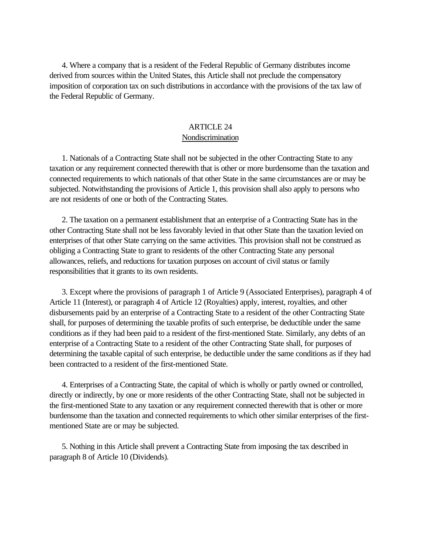<span id="page-29-0"></span> 4. Where a company that is a resident of the Federal Republic of Germany distributes income derived from sources within the United States, this Article shall not preclude the compensatory imposition of corporation tax on such distributions in accordance with the provisions of the tax law of the Federal Republic of Germany.

# ARTICLE 24

# Nondiscrimination

 1. Nationals of a Contracting State shall not be subjected in the other Contracting State to any taxation or any requirement connected therewith that is other or more burdensome than the taxation and connected requirements to which nationals of that other State in the same circumstances are or may be subjected. Notwithstanding the provisions of Article 1, this provision shall also apply to persons who are not residents of one or both of the Contracting States.

 2. The taxation on a permanent establishment that an enterprise of a Contracting State has in the other Contracting State shall not be less favorably levied in that other State than the taxation levied on enterprises of that other State carrying on the same activities. This provision shall not be construed as obliging a Contracting State to grant to residents of the other Contracting State any personal allowances, reliefs, and reductions for taxation purposes on account of civil status or family responsibilities that it grants to its own residents.

 3. Except where the provisions of paragraph 1 of Article 9 (Associated Enterprises), paragraph 4 of Article 11 (Interest), or paragraph 4 of Article 12 (Royalties) apply, interest, royalties, and other disbursements paid by an enterprise of a Contracting State to a resident of the other Contracting State shall, for purposes of determining the taxable profits of such enterprise, be deductible under the same conditions as if they had been paid to a resident of the first-mentioned State. Similarly, any debts of an enterprise of a Contracting State to a resident of the other Contracting State shall, for purposes of determining the taxable capital of such enterprise, be deductible under the same conditions as if they had been contracted to a resident of the first-mentioned State.

 4. Enterprises of a Contracting State, the capital of which is wholly or partly owned or controlled, directly or indirectly, by one or more residents of the other Contracting State, shall not be subjected in the first-mentioned State to any taxation or any requirement connected therewith that is other or more burdensome than the taxation and connected requirements to which other similar enterprises of the firstmentioned State are or may be subjected.

 5. Nothing in this Article shall prevent a Contracting State from imposing the tax described in paragraph 8 of Article 10 (Dividends).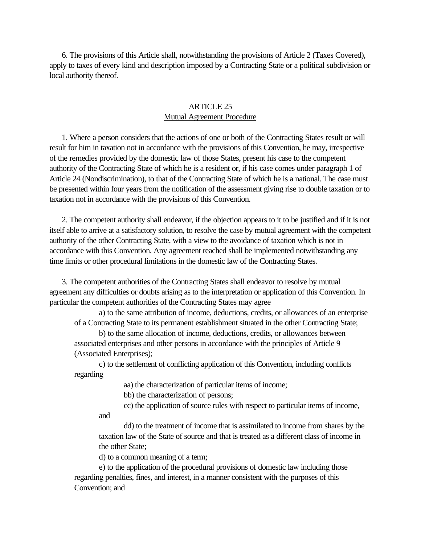<span id="page-30-0"></span> 6. The provisions of this Article shall, notwithstanding the provisions of Article 2 (Taxes Covered), apply to taxes of every kind and description imposed by a Contracting State or a political subdivision or local authority thereof.

# ARTICLE 25 Mutual Agreement Procedure

 1. Where a person considers that the actions of one or both of the Contracting States result or will result for him in taxation not in accordance with the provisions of this Convention, he may, irrespective of the remedies provided by the domestic law of those States, present his case to the competent authority of the Contracting State of which he is a resident or, if his case comes under paragraph 1 of Article 24 (Nondiscrimination), to that of the Contracting State of which he is a national. The case must be presented within four years from the notification of the assessment giving rise to double taxation or to taxation not in accordance with the provisions of this Convention.

 2. The competent authority shall endeavor, if the objection appears to it to be justified and if it is not itself able to arrive at a satisfactory solution, to resolve the case by mutual agreement with the competent authority of the other Contracting State, with a view to the avoidance of taxation which is not in accordance with this Convention. Any agreement reached shall be implemented notwithstanding any time limits or other procedural limitations in the domestic law of the Contracting States.

 3. The competent authorities of the Contracting States shall endeavor to resolve by mutual agreement any difficulties or doubts arising as to the interpretation or application of this Convention. In particular the competent authorities of the Contracting States may agree

a) to the same attribution of income, deductions, credits, or allowances of an enterprise of a Contracting State to its permanent establishment situated in the other Contracting State;

b) to the same allocation of income, deductions, credits, or allowances between associated enterprises and other persons in accordance with the principles of Article 9 (Associated Enterprises);

c) to the settlement of conflicting application of this Convention, including conflicts regarding

aa) the characterization of particular items of income;

bb) the characterization of persons;

cc) the application of source rules with respect to particular items of income,

dd) to the treatment of income that is assimilated to income from shares by the taxation law of the State of source and that is treated as a different class of income in the other State;

d) to a common meaning of a term;

and

e) to the application of the procedural provisions of domestic law including those regarding penalties, fines, and interest, in a manner consistent with the purposes of this Convention; and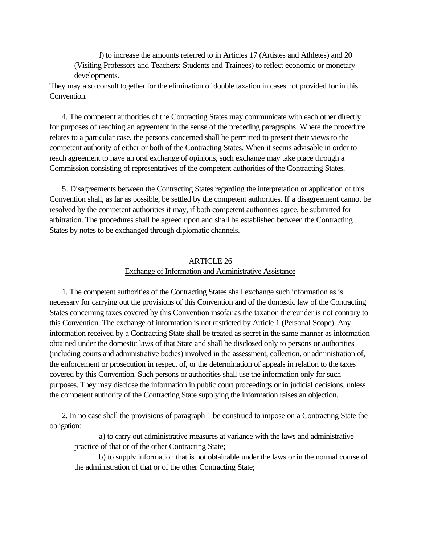<span id="page-31-0"></span>f) to increase the amounts referred to in Articles 17 (Artistes and Athletes) and 20 (Visiting Professors and Teachers; Students and Trainees) to reflect economic or monetary developments.

They may also consult together for the elimination of double taxation in cases not provided for in this Convention.

 4. The competent authorities of the Contracting States may communicate with each other directly for purposes of reaching an agreement in the sense of the preceding paragraphs. Where the procedure relates to a particular case, the persons concerned shall be permitted to present their views to the competent authority of either or both of the Contracting States. When it seems advisable in order to reach agreement to have an oral exchange of opinions, such exchange may take place through a Commission consisting of representatives of the competent authorities of the Contracting States.

 5. Disagreements between the Contracting States regarding the interpretation or application of this Convention shall, as far as possible, be settled by the competent authorities. If a disagreement cannot be resolved by the competent authorities it may, if both competent authorities agree, be submitted for arbitration. The procedures shall be agreed upon and shall be established between the Contracting States by notes to be exchanged through diplomatic channels.

# ARTICLE 26 Exchange of Information and Administrative Assistance

 1. The competent authorities of the Contracting States shall exchange such information as is necessary for carrying out the provisions of this Convention and of the domestic law of the Contracting States concerning taxes covered by this Convention insofar as the taxation thereunder is not contrary to this Convention. The exchange of information is not restricted by Article 1 (Personal Scope). Any information received by a Contracting State shall be treated as secret in the same manner as information obtained under the domestic laws of that State and shall be disclosed only to persons or authorities (including courts and administrative bodies) involved in the assessment, collection, or administration of, the enforcement or prosecution in respect of, or the determination of appeals in relation to the taxes covered by this Convention. Such persons or authorities shall use the information only for such purposes. They may disclose the information in public court proceedings or in judicial decisions, unless the competent authority of the Contracting State supplying the information raises an objection.

 2. In no case shall the provisions of paragraph 1 be construed to impose on a Contracting State the obligation:

a) to carry out administrative measures at variance with the laws and administrative practice of that or of the other Contracting State;

b) to supply information that is not obtainable under the laws or in the normal course of the administration of that or of the other Contracting State;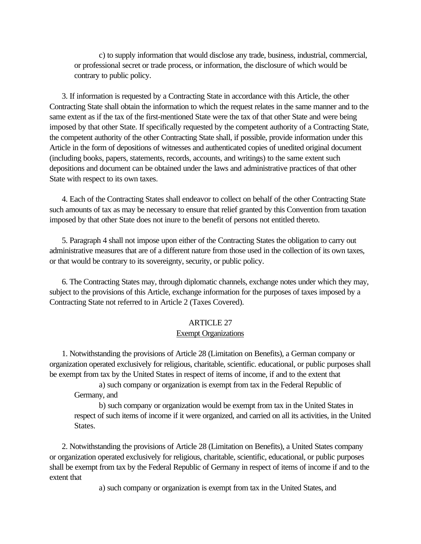<span id="page-32-0"></span>c) to supply information that would disclose any trade, business, industrial, commercial, or professional secret or trade process, or information, the disclosure of which would be contrary to public policy.

 3. If information is requested by a Contracting State in accordance with this Article, the other Contracting State shall obtain the information to which the request relates in the same manner and to the same extent as if the tax of the first-mentioned State were the tax of that other State and were being imposed by that other State. If specifically requested by the competent authority of a Contracting State, the competent authority of the other Contracting State shall, if possible, provide information under this Article in the form of depositions of witnesses and authenticated copies of unedited original document (including books, papers, statements, records, accounts, and writings) to the same extent such depositions and document can be obtained under the laws and administrative practices of that other State with respect to its own taxes.

 4. Each of the Contracting States shall endeavor to collect on behalf of the other Contracting State such amounts of tax as may be necessary to ensure that relief granted by this Convention from taxation imposed by that other State does not inure to the benefit of persons not entitled thereto.

 5. Paragraph 4 shall not impose upon either of the Contracting States the obligation to carry out administrative measures that are of a different nature from those used in the collection of its own taxes, or that would be contrary to its sovereignty, security, or public policy.

 6. The Contracting States may, through diplomatic channels, exchange notes under which they may, subject to the provisions of this Article, exchange information for the purposes of taxes imposed by a Contracting State not referred to in Article 2 (Taxes Covered).

# ARTICLE 27

#### Exempt Organizations

 1. Notwithstanding the provisions of Article 28 (Limitation on Benefits), a German company or organization operated exclusively for religious, charitable, scientific. educational, or public purposes shall be exempt from tax by the United States in respect of items of income, if and to the extent that

a) such company or organization is exempt from tax in the Federal Republic of Germany, and

b) such company or organization would be exempt from tax in the United States in respect of such items of income if it were organized, and carried on all its activities, in the United States.

 2. Notwithstanding the provisions of Article 28 (Limitation on Benefits), a United States company or organization operated exclusively for religious, charitable, scientific, educational, or public purposes shall be exempt from tax by the Federal Republic of Germany in respect of items of income if and to the extent that

a) such company or organization is exempt from tax in the United States, and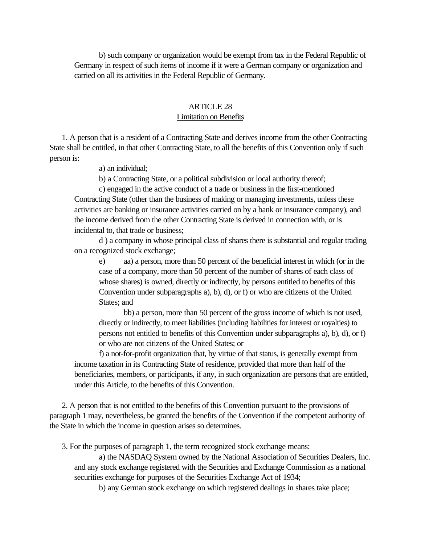<span id="page-33-0"></span>b) such company or organization would be exempt from tax in the Federal Republic of Germany in respect of such items of income if it were a German company or organization and carried on all its activities in the Federal Republic of Germany.

# ARTICLE 28 Limitation on Benefits

 1. A person that is a resident of a Contracting State and derives income from the other Contracting State shall be entitled, in that other Contracting State, to all the benefits of this Convention only if such person is:

a) an individual;

b) a Contracting State, or a political subdivision or local authority thereof;

c) engaged in the active conduct of a trade or business in the first-mentioned Contracting State (other than the business of making or managing investments, unless these activities are banking or insurance activities carried on by a bank or insurance company), and the income derived from the other Contracting State is derived in connection with, or is incidental to, that trade or business;

d ) a company in whose principal class of shares there is substantial and regular trading on a recognized stock exchange;

e) aa) a person, more than 50 percent of the beneficial interest in which (or in the case of a company, more than 50 percent of the number of shares of each class of whose shares) is owned, directly or indirectly, by persons entitled to benefits of this Convention under subparagraphs a), b), d), or f) or who are citizens of the United States; and

bb) a person, more than 50 percent of the gross income of which is not used, directly or indirectly, to meet liabilities (including liabilities for interest or royalties) to persons not entitled to benefits of this Convention under subparagraphs a), b), d), or f) or who are not citizens of the United States; or

f) a not-for-profit organization that, by virtue of that status, is generally exempt from income taxation in its Contracting State of residence, provided that more than half of the beneficiaries, members, or participants, if any, in such organization are persons that are entitled, under this Article, to the benefits of this Convention.

 2. A person that is not entitled to the benefits of this Convention pursuant to the provisions of paragraph 1 may, nevertheless, be granted the benefits of the Convention if the competent authority of the State in which the income in question arises so determines.

3. For the purposes of paragraph 1, the term recognized stock exchange means:

a) the NASDAQ System owned by the National Association of Securities Dealers, Inc. and any stock exchange registered with the Securities and Exchange Commission as a national securities exchange for purposes of the Securities Exchange Act of 1934;

b) any German stock exchange on which registered dealings in shares take place;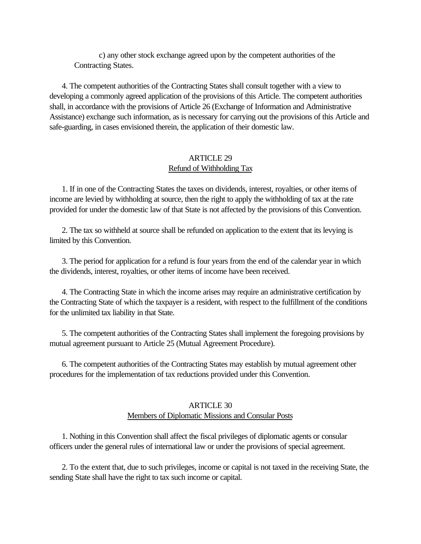<span id="page-34-0"></span>c) any other stock exchange agreed upon by the competent authorities of the Contracting States.

 4. The competent authorities of the Contracting States shall consult together with a view to developing a commonly agreed application of the provisions of this Article. The competent authorities shall, in accordance with the provisions of Article 26 (Exchange of Information and Administrative Assistance) exchange such information, as is necessary for carrying out the provisions of this Article and safe-guarding, in cases envisioned therein, the application of their domestic law.

# ARTICLE 29 Refund of Withholding Tax

 1. If in one of the Contracting States the taxes on dividends, interest, royalties, or other items of income are levied by withholding at source, then the right to apply the withholding of tax at the rate provided for under the domestic law of that State is not affected by the provisions of this Convention.

 2. The tax so withheld at source shall be refunded on application to the extent that its levying is limited by this Convention.

 3. The period for application for a refund is four years from the end of the calendar year in which the dividends, interest, royalties, or other items of income have been received.

 4. The Contracting State in which the income arises may require an administrative certification by the Contracting State of which the taxpayer is a resident, with respect to the fulfillment of the conditions for the unlimited tax liability in that State.

 5. The competent authorities of the Contracting States shall implement the foregoing provisions by mutual agreement pursuant to Article 25 (Mutual Agreement Procedure).

 6. The competent authorities of the Contracting States may establish by mutual agreement other procedures for the implementation of tax reductions provided under this Convention.

# ARTICLE 30 Members of Diplomatic Missions and Consular Posts

 1. Nothing in this Convention shall affect the fiscal privileges of diplomatic agents or consular officers under the general rules of international law or under the provisions of special agreement.

 2. To the extent that, due to such privileges, income or capital is not taxed in the receiving State, the sending State shall have the right to tax such income or capital.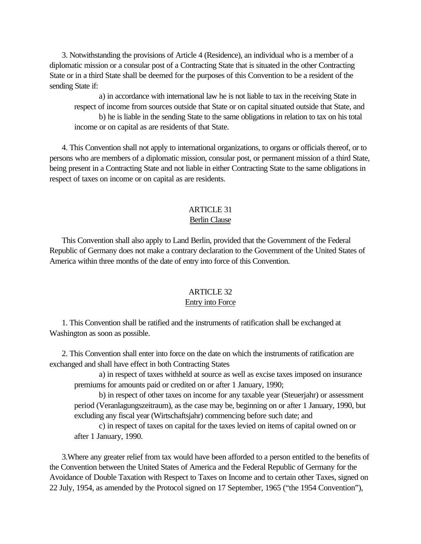<span id="page-35-0"></span> 3. Notwithstanding the provisions of Article 4 (Residence), an individual who is a member of a diplomatic mission or a consular post of a Contracting State that is situated in the other Contracting State or in a third State shall be deemed for the purposes of this Convention to be a resident of the sending State if:

a) in accordance with international law he is not liable to tax in the receiving State in respect of income from sources outside that State or on capital situated outside that State, and b) he is liable in the sending State to the same obligations in relation to tax on his total income or on capital as are residents of that State.

 4. This Convention shall not apply to international organizations, to organs or officials thereof, or to persons who are members of a diplomatic mission, consular post, or permanent mission of a third State, being present in a Contracting State and not liable in either Contracting State to the same obligations in respect of taxes on income or on capital as are residents.

# ARTICLE 31

#### Berlin Clause

 This Convention shall also apply to Land Berlin, provided that the Government of the Federal Republic of Germany does not make a contrary declaration to the Government of the United States of America within three months of the date of entry into force of this Convention.

#### ARTICLE 32

#### Entry into Force

 1. This Convention shall be ratified and the instruments of ratification shall be exchanged at Washington as soon as possible.

 2. This Convention shall enter into force on the date on which the instruments of ratification are exchanged and shall have effect in both Contracting States

a) in respect of taxes withheld at source as well as excise taxes imposed on insurance premiums for amounts paid or credited on or after 1 January, 1990;

b) in respect of other taxes on income for any taxable year (Steuerjahr) or assessment period (Veranlagungszeitraum), as the case may be, beginning on or after 1 January, 1990, but excluding any fiscal year (Wirtschaftsjahr) commencing before such date; and

c) in respect of taxes on capital for the taxes levied on items of capital owned on or after 1 January, 1990.

 3.Where any greater relief from tax would have been afforded to a person entitled to the benefits of the Convention between the United States of America and the Federal Republic of Germany for the Avoidance of Double Taxation with Respect to Taxes on Income and to certain other Taxes, signed on 22 July, 1954, as amended by the Protocol signed on 17 September, 1965 ("the 1954 Convention"),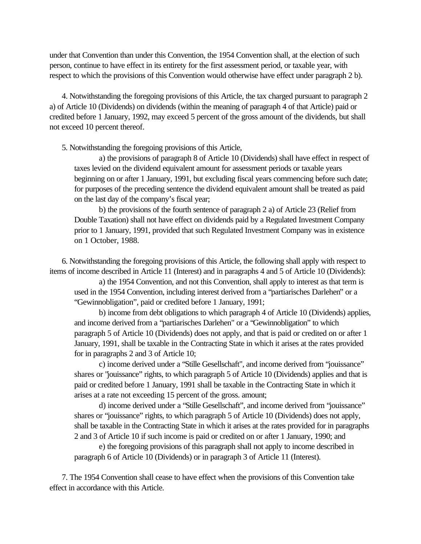under that Convention than under this Convention, the 1954 Convention shall, at the election of such person, continue to have effect in its entirety for the first assessment period, or taxable year, with respect to which the provisions of this Convention would otherwise have effect under paragraph 2 b).

 4. Notwithstanding the foregoing provisions of this Article, the tax charged pursuant to paragraph 2 a) of Article 10 (Dividends) on dividends (within the meaning of paragraph 4 of that Article) paid or credited before 1 January, 1992, may exceed 5 percent of the gross amount of the dividends, but shall not exceed 10 percent thereof.

5. Notwithstanding the foregoing provisions of this Article,

a) the provisions of paragraph 8 of Article 10 (Dividends) shall have effect in respect of taxes levied on the dividend equivalent amount for assessment periods or taxable years beginning on or after 1 January, 1991, but excluding fiscal years commencing before such date; for purposes of the preceding sentence the dividend equivalent amount shall be treated as paid on the last day of the company's fiscal year;

b) the provisions of the fourth sentence of paragraph 2 a) of Article 23 (Relief from Double Taxation) shall not have effect on dividends paid by a Regulated Investment Company prior to 1 January, 1991, provided that such Regulated Investment Company was in existence on 1 October, 1988.

 6. Notwithstanding the foregoing provisions of this Article, the following shall apply with respect to items of income described in Article 11 (Interest) and in paragraphs 4 and 5 of Article 10 (Dividends):

a) the 1954 Convention, and not this Convention, shall apply to interest as that term is used in the 1954 Convention, including interest derived from a "partiarisches Darlehen" or a "Gewinnobligation", paid or credited before 1 January, 1991;

b) income from debt obligations to which paragraph 4 of Article 10 (Dividends) applies, and income derived from a "partiarisches Darlehen" or a "Gewinnobligation" to which paragraph 5 of Article 10 (Dividends) does not apply, and that is paid or credited on or after 1 January, 1991, shall be taxable in the Contracting State in which it arises at the rates provided for in paragraphs 2 and 3 of Article 10;

c) income derived under a "Stille Gesellschaft", and income derived from "jouissance" shares or "jouissance" rights, to which paragraph 5 of Article 10 (Dividends) applies and that is paid or credited before 1 January, 1991 shall be taxable in the Contracting State in which it arises at a rate not exceeding 15 percent of the gross. amount;

d) income derived under a "Stille Gesellschaft", and income derived from "jouissance" shares or "jouissance" rights, to which paragraph 5 of Article 10 (Dividends) does not apply, shall be taxable in the Contracting State in which it arises at the rates provided for in paragraphs 2 and 3 of Article 10 if such income is paid or credited on or after 1 January, 1990; and

e) the foregoing provisions of this paragraph shall not apply to income described in paragraph 6 of Article 10 (Dividends) or in paragraph 3 of Article 11 (Interest).

 7. The 1954 Convention shall cease to have effect when the provisions of this Convention take effect in accordance with this Article.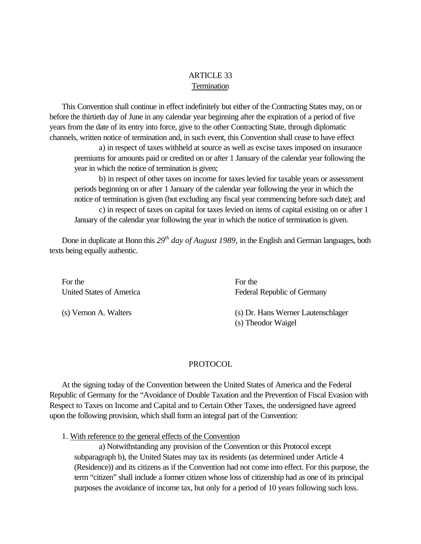# ARTICLE 33 **Termination**

<span id="page-37-1"></span><span id="page-37-0"></span> This Convention shall continue in effect indefinitely but either of the Contracting States may, on or before the thirtieth day of June in any calendar year beginning after the expiration of a period of five years from the date of its entry into force, give to the other Contracting State, through diplomatic channels, written notice of termination and, in such event, this Convention shall cease to have effect

a) in respect of taxes withheld at source as well as excise taxes imposed on insurance premiums for amounts paid or credited on or after 1 January of the calendar year following the year in which the notice of termination is given;

b) in respect of other taxes on income for taxes levied for taxable years or assessment periods beginning on or after 1 January of the calendar year following the year in which the notice of termination is given (but excluding any fiscal year commencing before such date); and c) in respect of taxes on capital for taxes levied on items of capital existing on or after 1 January of the calendar year following the year in which the notice of termination is given.

<span id="page-37-2"></span> Done in duplicate at Bonn this *29th day of August 1989,* in the English and German languages, both texts being equally authentic.

For the Forest Property and The Forest Property and The Forest Property and The Forest Property and The Forest Property and The Forest Property and The Forest Property and The Forest Property and The Forest Property and Th

United States of America Federal Republic of Germany

 (s) Vernon A. Walters (s) Dr. Hans Werner Lautenschlager (s) Theodor Waigel

# PROTOCOL

 At the signing today of the Convention between the United States of America and the Federal Republic of Germany for the "Avoidance of Double Taxation and the Prevention of Fiscal Evasion with Respect to Taxes on Income and Capital and to Certain Other Taxes, the undersigned have agreed upon the following provision, which shall form an integral part of the Convention:

1. With reference to the general effects of the Convention

a) Notwithstanding any provision of the Convention or this Protocol except subparagraph b), the United States may tax its residents (as determined under Article 4 (Residence)) and its citizens as if the Convention had not come into effect. For this purpose, the term "citizen" shall include a former citizen whose loss of citizenship had as one of its principal purposes the avoidance of income tax, but only for a period of 10 years following such loss.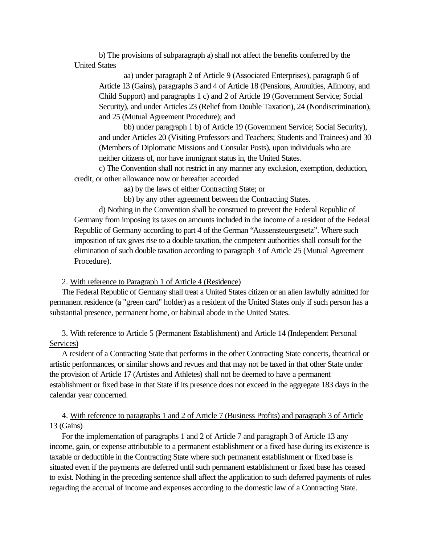b) The provisions of subparagraph a) shall not affect the benefits conferred by the United States

aa) under paragraph 2 of Article 9 (Associated Enterprises), paragraph 6 of Article 13 (Gains), paragraphs 3 and 4 of Article 18 (Pensions, Annuities, Alimony, and Child Support) and paragraphs 1 c) and 2 of Article 19 (Government Service; Social Security), and under Articles 23 (Relief from Double Taxation), 24 (Nondiscrimination), and 25 (Mutual Agreement Procedure); and

bb) under paragraph 1 b) of Article 19 (Government Service; Social Security), and under Articles 20 (Visiting Professors and Teachers; Students and Trainees) and 30 (Members of Diplomatic Missions and Consular Posts), upon individuals who are neither citizens of, nor have immigrant status in, the United States.

c) The Convention shall not restrict in any manner any exclusion, exemption, deduction, credit, or other allowance now or hereafter accorded

aa) by the laws of either Contracting State; or

bb) by any other agreement between the Contracting States.

d) Nothing in the Convention shall be construed to prevent the Federal Republic of Germany from imposing its taxes on amounts included in the income of a resident of the Federal Republic of Germany according to part 4 of the German "Aussensteuergesetz". Where such imposition of tax gives rise to a double taxation, the competent authorities shall consult for the elimination of such double taxation according to paragraph 3 of Article 25 (Mutual Agreement Procedure).

#### 2. With reference to Paragraph 1 of Article 4 (Residence)

 The Federal Republic of Germany shall treat a United States citizen or an alien lawfully admitted for permanent residence (a "green card" holder) as a resident of the United States only if such person has a substantial presence, permanent home, or habitual abode in the United States.

 3. With reference to Article 5 (Permanent Establishment) and Article 14 (Independent Personal Services)

 A resident of a Contracting State that performs in the other Contracting State concerts, theatrical or artistic performances, or similar shows and revues and that may not be taxed in that other State under the provision of Article 17 (Artistes and Athletes) shall not be deemed to have a permanent establishment or fixed base in that State if its presence does not exceed in the aggregate 183 days in the calendar year concerned.

# 4. With reference to paragraphs 1 and 2 of Article 7 (Business Profits) and paragraph 3 of Article 13 (Gains)

 For the implementation of paragraphs 1 and 2 of Article 7 and paragraph 3 of Article 13 any income, gain, or expense attributable to a permanent establishment or a fixed base during its existence is taxable or deductible in the Contracting State where such permanent establishment or fixed base is situated even if the payments are deferred until such permanent establishment or fixed base has ceased to exist. Nothing in the preceding sentence shall affect the application to such deferred payments of rules regarding the accrual of income and expenses according to the domestic law of a Contracting State.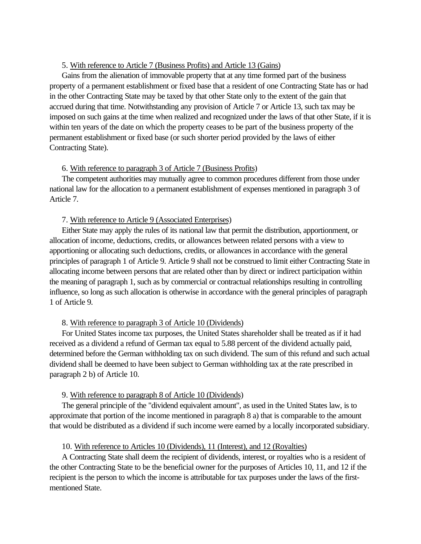#### 5. With reference to Article 7 (Business Profits) and Article 13 (Gains)

 Gains from the alienation of immovable property that at any time formed part of the business property of a permanent establishment or fixed base that a resident of one Contracting State has or had in the other Contracting State may be taxed by that other State only to the extent of the gain that accrued during that time. Notwithstanding any provision of Article 7 or Article 13, such tax may be imposed on such gains at the time when realized and recognized under the laws of that other State, if it is within ten years of the date on which the property ceases to be part of the business property of the permanent establishment or fixed base (or such shorter period provided by the laws of either Contracting State).

#### 6. With reference to paragraph 3 of Article 7 (Business Profits)

 The competent authorities may mutually agree to common procedures different from those under national law for the allocation to a permanent establishment of expenses mentioned in paragraph 3 of Article 7.

#### 7. With reference to Article 9 (Associated Enterprises)

 Either State may apply the rules of its national law that permit the distribution, apportionment, or allocation of income, deductions, credits, or allowances between related persons with a view to apportioning or allocating such deductions, credits, or allowances in accordance with the general principles of paragraph 1 of Article 9. Article 9 shall not be construed to limit either Contracting State in allocating income between persons that are related other than by direct or indirect participation within the meaning of paragraph 1, such as by commercial or contractual relationships resulting in controlling influence, so long as such allocation is otherwise in accordance with the general principles of paragraph 1 of Article 9.

## 8. With reference to paragraph 3 of Article 10 (Dividends)

 For United States income tax purposes, the United States shareholder shall be treated as if it had received as a dividend a refund of German tax equal to 5.88 percent of the dividend actually paid, determined before the German withholding tax on such dividend. The sum of this refund and such actual dividend shall be deemed to have been subject to German withholding tax at the rate prescribed in paragraph 2 b) of Article 10.

#### 9. With reference to paragraph 8 of Article 10 (Dividends)

 The general principle of the "dividend equivalent amount", as used in the United States law, is to approximate that portion of the income mentioned in paragraph 8 a) that is comparable to the amount that would be distributed as a dividend if such income were earned by a locally incorporated subsidiary.

## 10. With reference to Articles 10 (Dividends), 11 (Interest), and 12 (Royalties)

 A Contracting State shall deem the recipient of dividends, interest, or royalties who is a resident of the other Contracting State to be the beneficial owner for the purposes of Articles 10, 11, and 12 if the recipient is the person to which the income is attributable for tax purposes under the laws of the firstmentioned State.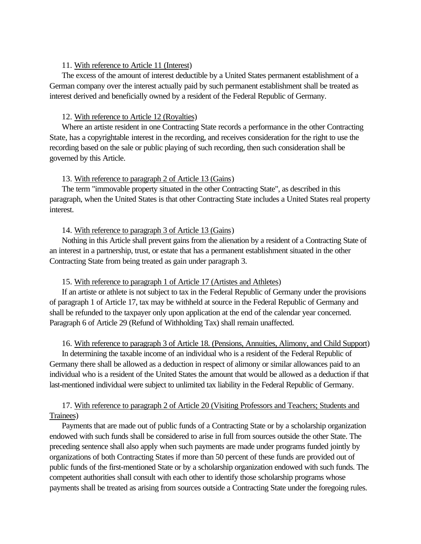#### 11. With reference to Article 11 (Interest)

 The excess of the amount of interest deductible by a United States permanent establishment of a German company over the interest actually paid by such permanent establishment shall be treated as interest derived and beneficially owned by a resident of the Federal Republic of Germany.

#### 12. With reference to Article 12 (Royalties)

 Where an artiste resident in one Contracting State records a performance in the other Contracting State, has a copyrightable interest in the recording, and receives consideration for the right to use the recording based on the sale or public playing of such recording, then such consideration shall be governed by this Article.

#### 13. With reference to paragraph 2 of Article 13 (Gains)

 The term "immovable property situated in the other Contracting State", as described in this paragraph, when the United States is that other Contracting State includes a United States real property interest.

#### 14. With reference to paragraph 3 of Article 13 (Gains)

 Nothing in this Article shall prevent gains from the alienation by a resident of a Contracting State of an interest in a partnership, trust, or estate that has a permanent establishment situated in the other Contracting State from being treated as gain under paragraph 3.

## 15. With reference to paragraph 1 of Article 17 (Artistes and Athletes)

 If an artiste or athlete is not subject to tax in the Federal Republic of Germany under the provisions of paragraph 1 of Article 17, tax may be withheld at source in the Federal Republic of Germany and shall be refunded to the taxpayer only upon application at the end of the calendar year concerned. Paragraph 6 of Article 29 (Refund of Withholding Tax) shall remain unaffected.

## 16. With reference to paragraph 3 of Article 18. (Pensions, Annuities, Alimony, and Child Support)

 In determining the taxable income of an individual who is a resident of the Federal Republic of Germany there shall be allowed as a deduction in respect of alimony or similar allowances paid to an individual who is a resident of the United States the amount that would be allowed as a deduction if that last-mentioned individual were subject to unlimited tax liability in the Federal Republic of Germany.

# 17. With reference to paragraph 2 of Article 20 (Visiting Professors and Teachers; Students and Trainees)

 Payments that are made out of public funds of a Contracting State or by a scholarship organization endowed with such funds shall be considered to arise in full from sources outside the other State. The preceding sentence shall also apply when such payments are made under programs funded jointly by organizations of both Contracting States if more than 50 percent of these funds are provided out of public funds of the first-mentioned State or by a scholarship organization endowed with such funds. The competent authorities shall consult with each other to identify those scholarship programs whose payments shall be treated as arising from sources outside a Contracting State under the foregoing rules.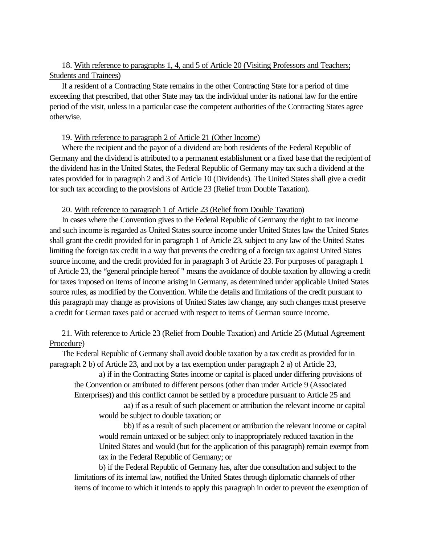# 18. With reference to paragraphs 1, 4, and 5 of Article 20 (Visiting Professors and Teachers; Students and Trainees)

 If a resident of a Contracting State remains in the other Contracting State for a period of time exceeding that prescribed, that other State may tax the individual under its national law for the entire period of the visit, unless in a particular case the competent authorities of the Contracting States agree otherwise.

#### 19. With reference to paragraph 2 of Article 21 (Other Income)

 Where the recipient and the payor of a dividend are both residents of the Federal Republic of Germany and the dividend is attributed to a permanent establishment or a fixed base that the recipient of the dividend has in the United States, the Federal Republic of Germany may tax such a dividend at the rates provided for in paragraph 2 and 3 of Article 10 (Dividends). The United States shall give a credit for such tax according to the provisions of Article 23 (Relief from Double Taxation).

#### 20. With reference to paragraph 1 of Article 23 (Relief from Double Taxation)

 In cases where the Convention gives to the Federal Republic of Germany the right to tax income and such income is regarded as United States source income under United States law the United States shall grant the credit provided for in paragraph 1 of Article 23, subject to any law of the United States limiting the foreign tax credit in a way that prevents the crediting of a foreign tax against United States source income, and the credit provided for in paragraph 3 of Article 23. For purposes of paragraph 1 of Article 23, the "general principle hereof " means the avoidance of double taxation by allowing a credit for taxes imposed on items of income arising in Germany, as determined under applicable United States source rules, as modified by the Convention. While the details and limitations of the credit pursuant to this paragraph may change as provisions of United States law change, any such changes must preserve a credit for German taxes paid or accrued with respect to items of German source income.

# 21. With reference to Article 23 (Relief from Double Taxation) and Article 25 (Mutual Agreement Procedure)

 The Federal Republic of Germany shall avoid double taxation by a tax credit as provided for in paragraph 2 b) of Article 23, and not by a tax exemption under paragraph 2 a) of Article 23,

a) if in the Contracting States income or capital is placed under differing provisions of the Convention or attributed to different persons (other than under Article 9 (Associated Enterprises)) and this conflict cannot be settled by a procedure pursuant to Article 25 and

aa) if as a result of such placement or attribution the relevant income or capital would be subject to double taxation; or

bb) if as a result of such placement or attribution the relevant income or capital would remain untaxed or be subject only to inappropriately reduced taxation in the United States and would (but for the application of this paragraph) remain exempt from tax in the Federal Republic of Germany; or

b) if the Federal Republic of Germany has, after due consultation and subject to the limitations of its internal law, notified the United States through diplomatic channels of other items of income to which it intends to apply this paragraph in order to prevent the exemption of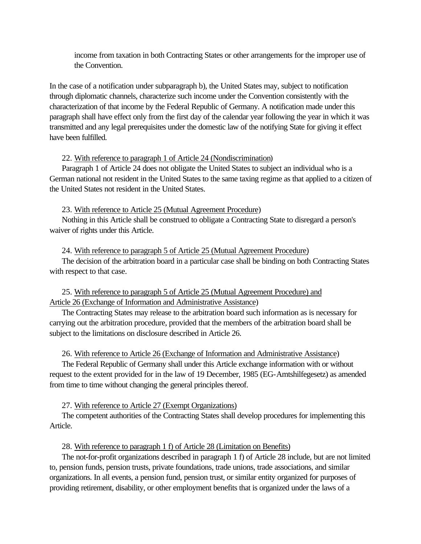income from taxation in both Contracting States or other arrangements for the improper use of the Convention.

In the case of a notification under subparagraph b), the United States may, subject to notification through diplomatic channels, characterize such income under the Convention consistently with the characterization of that income by the Federal Republic of Germany. A notification made under this paragraph shall have effect only from the first day of the calendar year following the year in which it was transmitted and any legal prerequisites under the domestic law of the notifying State for giving it effect have been fulfilled.

#### 22. With reference to paragraph 1 of Article 24 (Nondiscrimination)

 Paragraph 1 of Article 24 does not obligate the United States to subject an individual who is a German national not resident in the United States to the same taxing regime as that applied to a citizen of the United States not resident in the United States.

#### 23. With reference to Article 25 (Mutual Agreement Procedure)

 Nothing in this Article shall be construed to obligate a Contracting State to disregard a person's waiver of rights under this Article.

 24. With reference to paragraph 5 of Article 25 (Mutual Agreement Procedure) The decision of the arbitration board in a particular case shall be binding on both Contracting States with respect to that case.

# 25. With reference to paragraph 5 of Article 25 (Mutual Agreement Procedure) and Article 26 (Exchange of Information and Administrative Assistance)

 The Contracting States may release to the arbitration board such information as is necessary for carrying out the arbitration procedure, provided that the members of the arbitration board shall be subject to the limitations on disclosure described in Article 26.

#### 26. With reference to Article 26 (Exchange of Information and Administrative Assistance)

 The Federal Republic of Germany shall under this Article exchange information with or without request to the extent provided for in the law of 19 December, 1985 (EG-Amtshilfegesetz) as amended from time to time without changing the general principles thereof.

#### 27. With reference to Article 27 (Exempt Organizations)

 The competent authorities of the Contracting States shall develop procedures for implementing this Article.

28. With reference to paragraph 1 f) of Article 28 (Limitation on Benefits)

 The not-for-profit organizations described in paragraph 1 f) of Article 28 include, but are not limited to, pension funds, pension trusts, private foundations, trade unions, trade associations, and similar organizations. In all events, a pension fund, pension trust, or similar entity organized for purposes of providing retirement, disability, or other employment benefits that is organized under the laws of a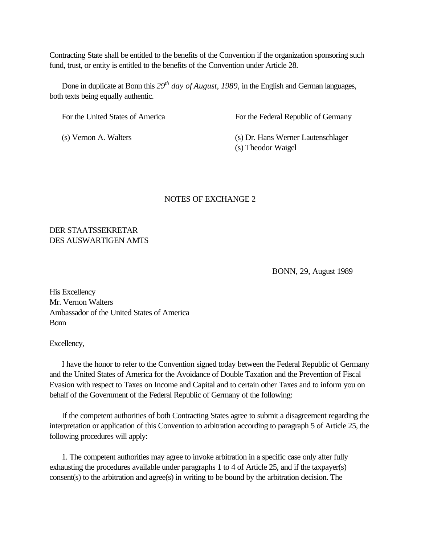Contracting State shall be entitled to the benefits of the Convention if the organization sponsoring such fund, trust, or entity is entitled to the benefits of the Convention under Article 28.

 Done in duplicate at Bonn this *29th day of August, 1989,* in the English and German languages, both texts being equally authentic.

For the United States of America For the Federal Republic of Germany

 (s) Vernon A. Walters (s) Dr. Hans Werner Lautenschlager (s) Theodor Waigel

#### NOTES OF EXCHANGE 2

# <span id="page-43-0"></span>DER STAATSSEKRETAR DES AUSWARTIGEN AMTS

BONN, 29, August 1989

His Excellency Mr. Vernon Walters Ambassador of the United States of America Bonn

Excellency,

 I have the honor to refer to the Convention signed today between the Federal Republic of Germany and the United States of America for the Avoidance of Double Taxation and the Prevention of Fiscal Evasion with respect to Taxes on Income and Capital and to certain other Taxes and to inform you on behalf of the Government of the Federal Republic of Germany of the following:

 If the competent authorities of both Contracting States agree to submit a disagreement regarding the interpretation or application of this Convention to arbitration according to paragraph 5 of Article 25, the following procedures will apply:

 1. The competent authorities may agree to invoke arbitration in a specific case only after fully exhausting the procedures available under paragraphs 1 to 4 of Article 25, and if the taxpayer(s) consent(s) to the arbitration and agree(s) in writing to be bound by the arbitration decision. The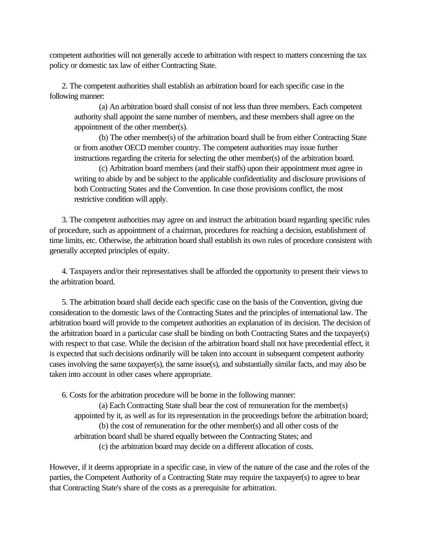competent authorities will not generally accede to arbitration with respect to matters concerning the tax policy or domestic tax law of either Contracting State.

 2. The competent authorities shall establish an arbitration board for each specific case in the following manner:

(a) An arbitration board shall consist of not less than three members. Each competent authority shall appoint the same number of members, and these members shall agree on the appointment of the other member(s).

(b) The other member(s) of the arbitration board shall be from either Contracting State or from another OECD member country. The competent authorities may issue further instructions regarding the criteria for selecting the other member(s) of the arbitration board.

(c) Arbitration board members (and their staffs) upon their appointment must agree in writing to abide by and be subject to the applicable confidentiality and disclosure provisions of both Contracting States and the Convention. In case those provisions conflict, the most restrictive condition will apply.

 3. The competent authorities may agree on and instruct the arbitration board regarding specific rules of procedure, such as appointment of a chairman, procedures for reaching a decision, establishment of time limits, etc. Otherwise, the arbitration board shall establish its own rules of procedure consistent with generally accepted principles of equity.

 4. Taxpayers and/or their representatives shall be afforded the opportunity to present their views to the arbitration board.

 5. The arbitration board shall decide each specific case on the basis of the Convention, giving due consideration to the domestic laws of the Contracting States and the principles of international law. The arbitration board will provide to the competent authorities an explanation of its decision. The decision of the arbitration board in a particular case shall be binding on both Contracting States and the taxpayer(s) with respect to that case. While the decision of the arbitration board shall not have precedential effect, it is expected that such decisions ordinarily will be taken into account in subsequent competent authority cases involving the same taxpayer(s), the same issue(s), and substantially similar facts, and may also be taken into account in other cases where appropriate.

6. Costs for the arbitration procedure will be borne in the following manner:

(a) Each Contracting State shall bear the cost of remuneration for the member(s) appointed by it, as well as for its representation in the proceedings before the arbitration board; (b) the cost of remuneration for the other member(s) and all other costs of the arbitration board shall be shared equally between the Contracting States; and (c) the arbitration board may decide on a different allocation of costs.

However, if it deems appropriate in a specific case, in view of the nature of the case and the roles of the parties, the Competent Authority of a Contracting State may require the taxpayer(s) to agree to bear that Contracting State's share of the costs as a prerequisite for arbitration.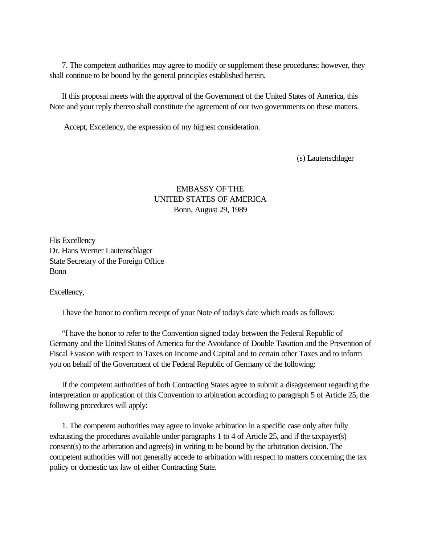7. The competent authorities may agree to modify or supplement these procedures; however, they shall continue to be bound by the general principles established herein.

 If this proposal meets with the approval of the Government of the United States of America, this Note and your reply thereto shall constitute the agreement of our two governments on these matters.

Accept, Excellency, the expression of my highest consideration.

(s) Lautenschlager

# EMBASSY OF THE UNITED STATES OF AMERICA Bonn, August 29, 1989

His Excellency Dr. Hans Werner Lautenschlager State Secretary of the Foreign Office Bonn

Excellency,

I have the honor to confirm receipt of your Note of today's date which roads as follows:

 "I have the honor to refer to the Convention signed today between the Federal Republic of Germany and the United States of America for the Avoidance of Double Taxation and the Prevention of Fiscal Evasion with respect to Taxes on Income and Capital and to certain other Taxes and to inform you on behalf of the Government of the Federal Republic of Germany of the following:

 If the competent authorities of both Contracting States agree to submit a disagreement regarding the interpretation or application of this Convention to arbitration according to paragraph 5 of Article 25, the following procedures will apply:

 1. The competent authorities may agree to invoke arbitration in a specific case only after fully exhausting the procedures available under paragraphs 1 to 4 of Article 25, and if the taxpayer(s)  $constant(s)$  to the arbitration and agree(s) in writing to be bound by the arbitration decision. The competent authorities will not generally accede to arbitration with respect to matters concerning the tax policy or domestic tax law of either Contracting State.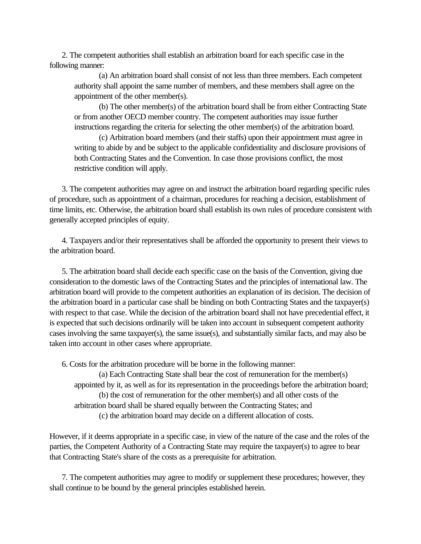2. The competent authorities shall establish an arbitration board for each specific case in the following manner:

(a) An arbitration board shall consist of not less than three members. Each competent authority shall appoint the same number of members, and these members shall agree on the appointment of the other member(s).

(b) The other member(s) of the arbitration board shall be from either Contracting State or from another OECD member country. The competent authorities may issue further instructions regarding the criteria for selecting the other member(s) of the arbitration board.

(c) Arbitration board members (and their staffs) upon their appointment must agree in writing to abide by and be subject to the applicable confidentiality and disclosure provisions of both Contracting States and the Convention. In case those provisions conflict, the most restrictive condition will apply.

 3. The competent authorities may agree on and instruct the arbitration board regarding specific rules of procedure, such as appointment of a chairman, procedures for reaching a decision, establishment of time limits, etc. Otherwise, the arbitration board shall establish its own rules of procedure consistent with generally accepted principles of equity.

 4. Taxpayers and/or their representatives shall be afforded the opportunity to present their views to the arbitration board.

 5. The arbitration board shall decide each specific case on the basis of the Convention, giving due consideration to the domestic laws of the Contracting States and the principles of international law. The arbitration board will provide to the competent authorities an explanation of its decision. The decision of the arbitration board in a particular case shall be binding on both Contracting States and the taxpayer(s) with respect to that case. While the decision of the arbitration board shall not have precedential effect, it is expected that such decisions ordinarily will be taken into account in subsequent competent authority cases involving the same taxpayer(s), the same issue(s), and substantially similar facts, and may also be taken into account in other cases where appropriate.

6. Costs for the arbitration procedure will be borne in the following manner:

(a) Each Contracting State shall bear the cost of remuneration for the member(s) appointed by it, as well as for its representation in the proceedings before the arbitration board; (b) the cost of remuneration for the other member(s) and all other costs of the arbitration board shall be shared equally between the Contracting States; and (c) the arbitration board may decide on a different allocation of costs.

However, if it deems appropriate in a specific case, in view of the nature of the case and the roles of the parties, the Competent Authority of a Contracting State may require the taxpayer(s) to agree to bear that Contracting State's share of the costs as a prerequisite for arbitration.

 7. The competent authorities may agree to modify or supplement these procedures; however, they shall continue to be bound by the general principles established herein.